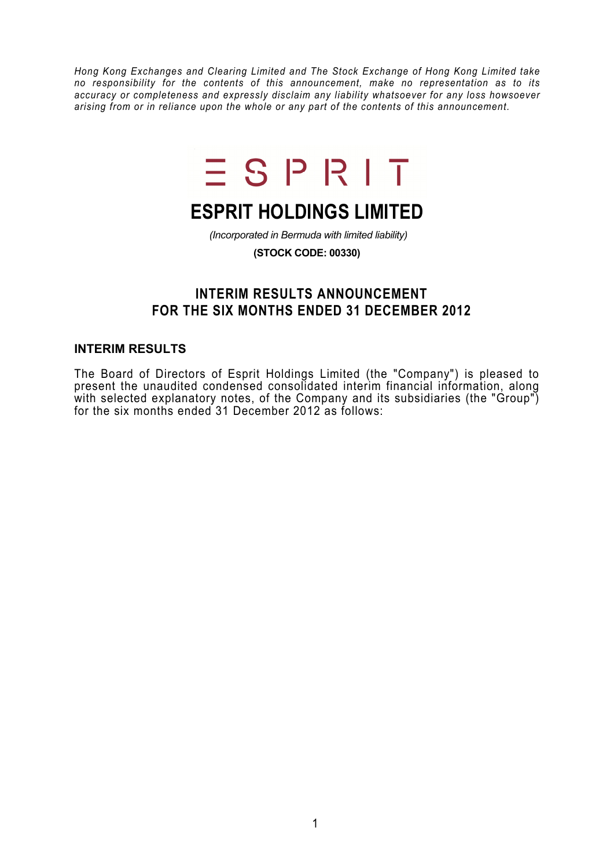*Hong Kong Exchanges and Clearing Limited and The Stock Exchange of Hong Kong Limited take no responsibility for the contents of this announcement, make no representation as to its accuracy or completeness and expressly disclaim any liability whatsoever for any loss howsoever arising from or in reliance upon the whole or any part of the contents of this announcement.* 



# **ESPRIT HOLDINGS LIMITED**

 *(Incorporated in Bermuda with limited liability)* 

**(STOCK CODE: 00330)** 

## **INTERIM RESULTS ANNOUNCEMENT FOR THE SIX MONTHS ENDED 31 DECEMBER 2012**

#### **INTERIM RESULTS**

The Board of Directors of Esprit Holdings Limited (the "Company") is pleased to present the unaudited condensed consolidated interim financial information, along with selected explanatory notes, of the Company and its subsidiaries (the "Group") for the six months ended 31 December 2012 as follows: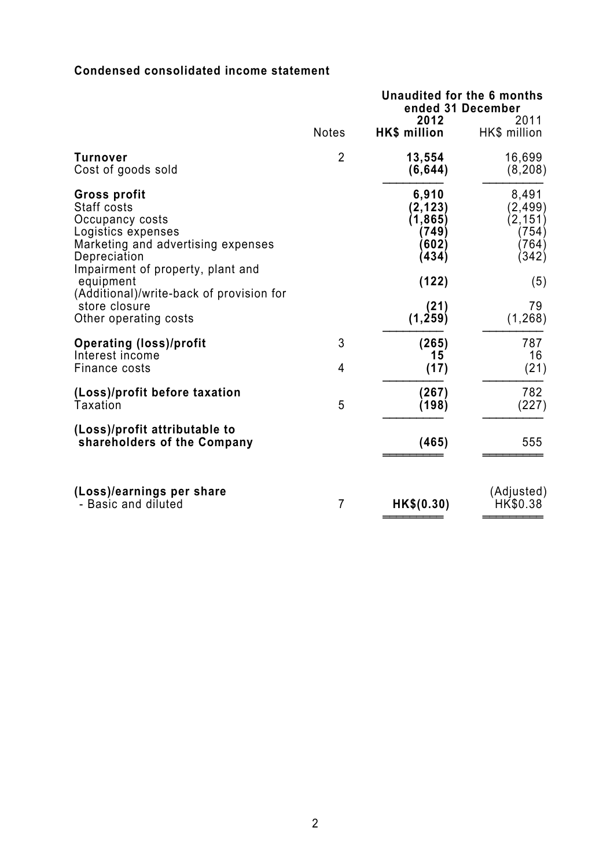## **Condensed consolidated income statement**

|                                                                                                                                                                        |                     | Unaudited for the 6 months<br>2012                       | ended 31 December<br>2011                              |  |
|------------------------------------------------------------------------------------------------------------------------------------------------------------------------|---------------------|----------------------------------------------------------|--------------------------------------------------------|--|
|                                                                                                                                                                        | <b>Notes</b>        | HK\$ million                                             | HK\$ million                                           |  |
| <b>Turnover</b><br>Cost of goods sold                                                                                                                                  | $\overline{2}$      | 13,554<br>(6, 644)                                       | 16,699<br>(8, 208)                                     |  |
| <b>Gross profit</b><br>Staff costs<br>Occupancy costs<br>Logistics expenses<br>Marketing and advertising expenses<br>Depreciation<br>Impairment of property, plant and |                     | 6,910<br>(2, 123)<br>(1, 865)<br>(749)<br>(602)<br>(434) | 8,491<br>(2,499)<br>(2, 151)<br>(754)<br>764)<br>(342) |  |
| equipment<br>(Additional)/write-back of provision for<br>store closure<br>Other operating costs                                                                        |                     | (122)<br>(21)<br>(1, 259)                                | (5)<br>79<br>(1, 268)                                  |  |
| <b>Operating (loss)/profit</b><br>Interest income<br>Finance costs                                                                                                     | 3<br>$\overline{4}$ | (265)<br>15<br>(17)                                      | 787<br>16<br>(21)                                      |  |
| (Loss)/profit before taxation<br>Taxation                                                                                                                              | 5                   | (267)<br>(198)                                           | 782<br>(227)                                           |  |
| (Loss)/profit attributable to<br>shareholders of the Company                                                                                                           |                     | (465)                                                    | 555                                                    |  |
| (Loss)/earnings per share<br>- Basic and diluted                                                                                                                       | $\overline{7}$      | HK\$(0.30)                                               | (Adjusted)<br>HK\$0.38                                 |  |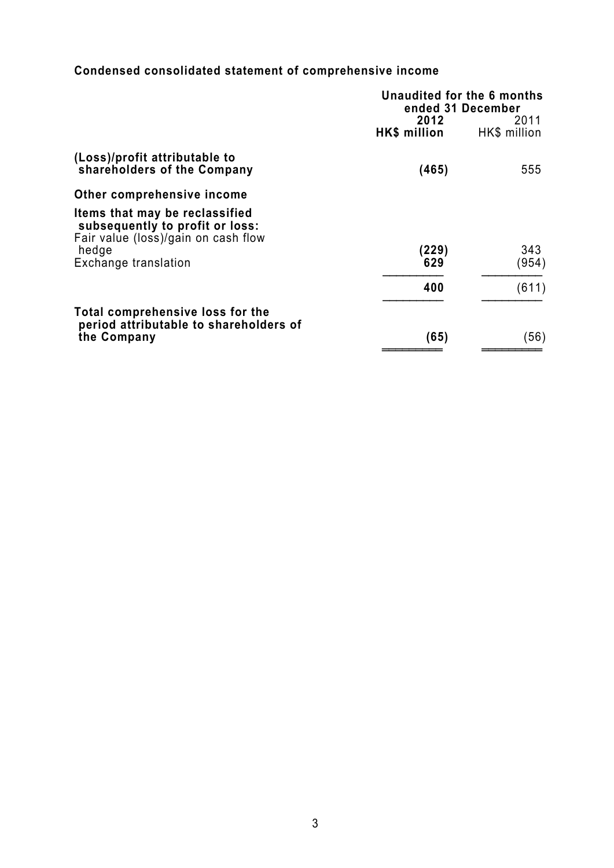## **Condensed consolidated statement of comprehensive income**

|                                                                                                          | Unaudited for the 6 months<br>ended 31 December |                      |
|----------------------------------------------------------------------------------------------------------|-------------------------------------------------|----------------------|
|                                                                                                          | 2012<br>HK\$ million                            | 2011<br>HK\$ million |
| (Loss)/profit attributable to<br>shareholders of the Company                                             | (465)                                           | 555                  |
| Other comprehensive income                                                                               |                                                 |                      |
| Items that may be reclassified<br>subsequently to profit or loss:<br>Fair value (loss)/gain on cash flow |                                                 |                      |
| hedge<br>Exchange translation                                                                            | (229)<br>629                                    | 343<br>(954)         |
|                                                                                                          | 400                                             | (611)                |
| Total comprehensive loss for the<br>period attributable to shareholders of                               |                                                 |                      |
| the Company                                                                                              | (65)                                            | (56)                 |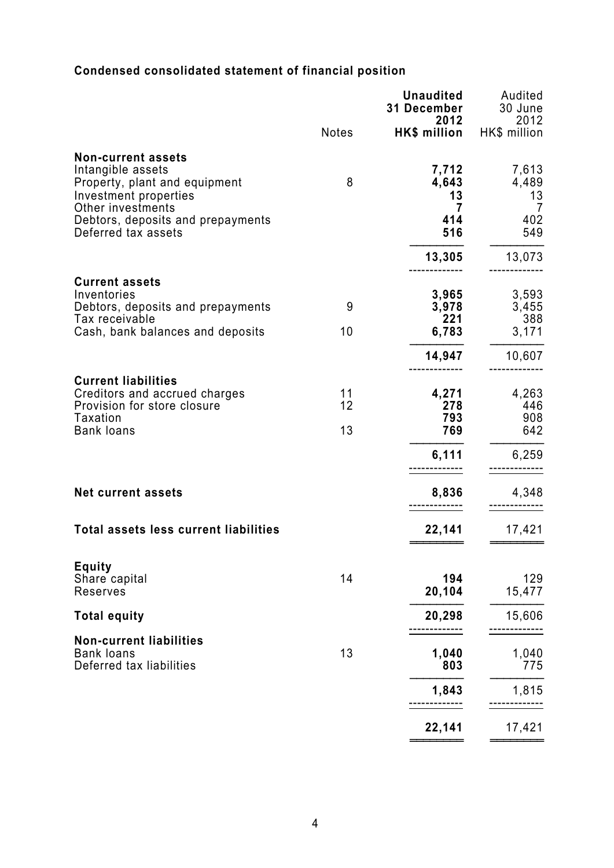## **Condensed consolidated statement of financial position**

|                                                                                                                                 |                | <b>Unaudited</b><br>31 December<br>2012 | Audited<br>30 June<br>2012     |
|---------------------------------------------------------------------------------------------------------------------------------|----------------|-----------------------------------------|--------------------------------|
|                                                                                                                                 | Notes          | HK\$ million HK\$ million               |                                |
| <b>Non-current assets</b><br>Intangible assets<br>Property, plant and equipment<br>Investment properties                        | 8              | 7,712<br>4,643<br>13                    | 7,613<br>4,489<br>13           |
| Other investments<br>Debtors, deposits and prepayments<br>Deferred tax assets                                                   |                | $\overline{7}$<br>414<br>516            | $\overline{7}$<br>402<br>549   |
|                                                                                                                                 |                | 13,305                                  | 13,073                         |
| <b>Current assets</b><br>Inventories<br>Debtors, deposits and prepayments<br>Tax receivable<br>Cash, bank balances and deposits | 9<br>10        | 3,965<br>3,978<br>221<br>6,783          | 3,593<br>3,455<br>388<br>3,171 |
|                                                                                                                                 |                | 14,947                                  | 10,607                         |
| <b>Current liabilities</b><br>Creditors and accrued charges<br>Provision for store closure<br>Taxation<br><b>Bank loans</b>     | 11<br>12<br>13 | 4,271<br>278<br>793<br>769              | 4,263<br>446<br>908<br>642     |
|                                                                                                                                 |                | 6,111                                   | 6,259                          |
| <b>Net current assets</b>                                                                                                       |                | 8,836                                   | 4,348                          |
| <b>Total assets less current liabilities</b>                                                                                    |                | 22,141                                  | 17,421                         |
| <b>Equity</b><br>Share capital<br>Reserves                                                                                      | 14             | 194<br>20,104                           | 129<br>15,477                  |
| <b>Total equity</b>                                                                                                             |                | 20,298                                  | 15,606                         |
| <b>Non-current liabilities</b><br><b>Bank loans</b><br>Deferred tax liabilities                                                 | 13             | 1,040<br>803                            | 1,040<br>775                   |
|                                                                                                                                 |                | 1,843                                   | 1,815                          |
|                                                                                                                                 |                | 22,141                                  | 17,421                         |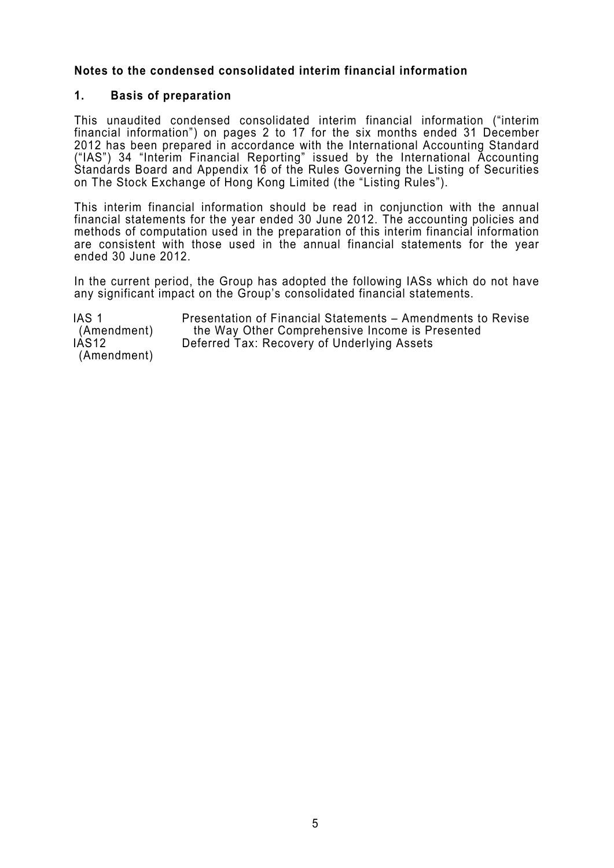### **Notes to the condensed consolidated interim financial information**

#### **1. Basis of preparation**

This unaudited condensed consolidated interim financial information ("interim financial information") on pages 2 to 17 for the six months ended 31 December 2012 has been prepared in accordance with the International Accounting Standard ("IAS") 34 "Interim Financial Reporting" issued by the International Accounting Standards Board and Appendix 16 of the Rules Governing the Listing of Securities on The Stock Exchange of Hong Kong Limited (the "Listing Rules").

This interim financial information should be read in conjunction with the annual financial statements for the year ended 30 June 2012. The accounting policies and methods of computation used in the preparation of this interim financial information are consistent with those used in the annual financial statements for the vear ended 30 June 2012.

In the current period, the Group has adopted the following IASs which do not have any significant impact on the Group's consolidated financial statements.

IAS 1 (Amendment) Presentation of Financial Statements – Amendments to Revise the Way Other Comprehensive Income is Presented IAS12 (Amendment) Deferred Tax: Recovery of Underlying Assets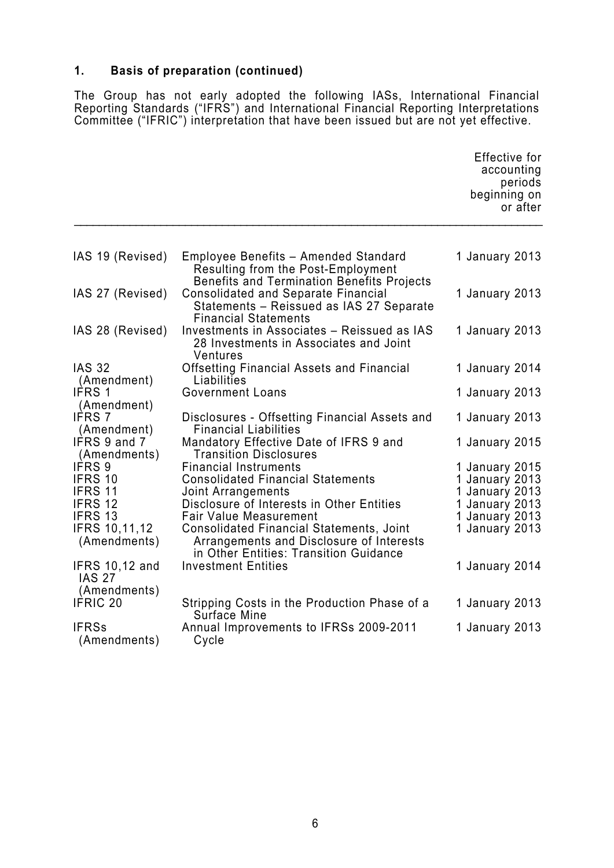## **1. Basis of preparation (continued)**

The Group has not early adopted the following IASs, International Financial Reporting Standards ("IFRS") and International Financial Reporting Interpretations Committee ("IFRIC") interpretation that have been issued but are not yet effective.

|                                                        |                                                                                                                                 | Effective for<br>accounting<br>periods<br>beginning on<br>or after |
|--------------------------------------------------------|---------------------------------------------------------------------------------------------------------------------------------|--------------------------------------------------------------------|
|                                                        |                                                                                                                                 |                                                                    |
| IAS 19 (Revised)                                       | Employee Benefits - Amended Standard<br>Resulting from the Post-Employment<br><b>Benefits and Termination Benefits Projects</b> | 1 January 2013                                                     |
| IAS 27 (Revised)                                       | <b>Consolidated and Separate Financial</b><br>Statements - Reissued as IAS 27 Separate<br><b>Financial Statements</b>           | 1 January 2013                                                     |
| IAS 28 (Revised)                                       | Investments in Associates - Reissued as IAS<br>28 Investments in Associates and Joint<br>Ventures                               | 1 January 2013                                                     |
| <b>IAS 32</b><br>(Amendment)                           | <b>Offsetting Financial Assets and Financial</b><br>Liabilities                                                                 | 1 January 2014                                                     |
| IFRS 1<br>(Amendment)                                  | <b>Government Loans</b>                                                                                                         | 1 January 2013                                                     |
| <b>IFRS 7</b><br>(Amendment)                           | Disclosures - Offsetting Financial Assets and<br><b>Financial Liabilities</b>                                                   | 1 January 2013                                                     |
| IFRS 9 and 7<br>(Amendments)                           | Mandatory Effective Date of IFRS 9 and<br><b>Transition Disclosures</b>                                                         | 1 January 2015                                                     |
| IFRS 9                                                 | <b>Financial Instruments</b>                                                                                                    | 1 January 2015                                                     |
| IFRS 10                                                | <b>Consolidated Financial Statements</b>                                                                                        | 1 January 2013                                                     |
| <b>IFRS 11</b>                                         | Joint Arrangements                                                                                                              | 1 January 2013                                                     |
| IFRS 12                                                | Disclosure of Interests in Other Entities                                                                                       | 1 January 2013                                                     |
| IFRS 13                                                | <b>Fair Value Measurement</b>                                                                                                   | 1 January 2013                                                     |
| <b>IFRS 10,11,12</b>                                   | <b>Consolidated Financial Statements, Joint</b>                                                                                 | 1 January 2013                                                     |
| (Amendments)                                           | Arrangements and Disclosure of Interests<br>in Other Entities: Transition Guidance                                              |                                                                    |
| <b>IFRS 10,12 and</b><br><b>IAS 27</b><br>(Amendments) | <b>Investment Entities</b>                                                                                                      | 1 January 2014                                                     |
| <b>IFRIC 20</b>                                        | Stripping Costs in the Production Phase of a<br>Surface Mine                                                                    | 1 January 2013                                                     |
| <b>IFRSs</b><br>(Amendments)                           | Annual Improvements to IFRSs 2009-2011<br>Cycle                                                                                 | 1 January 2013                                                     |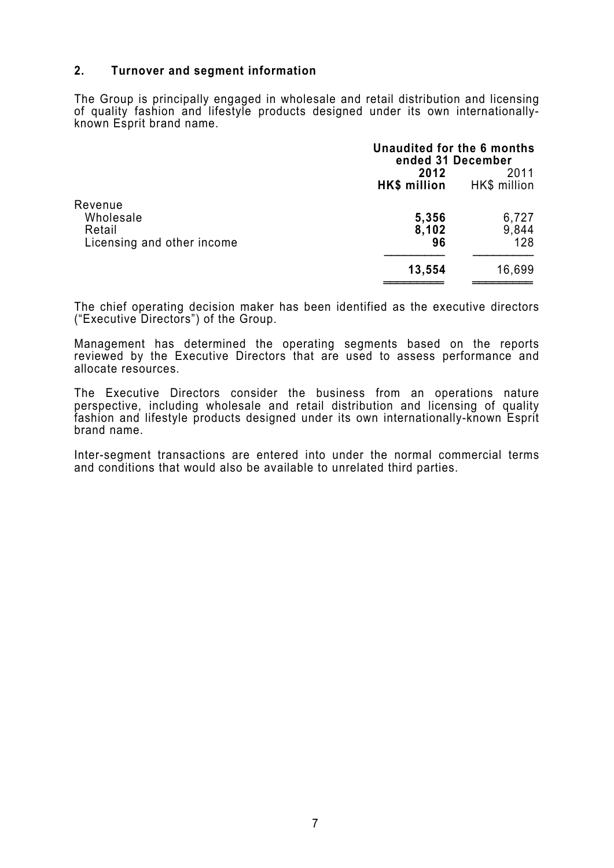#### **2. Turnover and segment information**

The Group is principally engaged in wholesale and retail distribution and licensing of quality fashion and lifestyle products designed under its own internationallyknown Esprit brand name.

|                                                              | Unaudited for the 6 months<br>ended 31 December |                       |
|--------------------------------------------------------------|-------------------------------------------------|-----------------------|
|                                                              | 2012<br>HK\$ million                            | 2011<br>HK\$ million  |
| Revenue<br>Wholesale<br>Retail<br>Licensing and other income | 5,356<br>8,102<br>96                            | 6,727<br>9,844<br>128 |
|                                                              | 13,554                                          | 16,699                |

The chief operating decision maker has been identified as the executive directors ("Executive Directors") of the Group.

Management has determined the operating segments based on the reports reviewed by the Executive Directors that are used to assess performance and allocate resources.

The Executive Directors consider the business from an operations nature perspective, including wholesale and retail distribution and licensing of quality fashion and lifestyle products designed under its own internationally-known Esprit brand name.

Inter-segment transactions are entered into under the normal commercial terms and conditions that would also be available to unrelated third parties.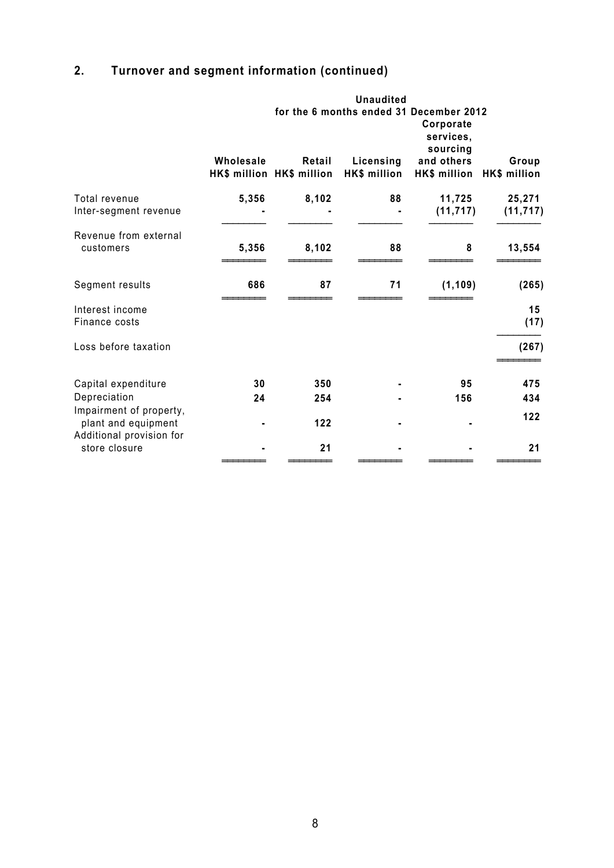## **2. Turnover and segment information (continued)**

|                                                                            |                                                                               |                                     | <b>Unaudited</b>          |                            |                       |
|----------------------------------------------------------------------------|-------------------------------------------------------------------------------|-------------------------------------|---------------------------|----------------------------|-----------------------|
|                                                                            | for the 6 months ended 31 December 2012<br>Corporate<br>services,<br>sourcing |                                     |                           |                            |                       |
|                                                                            | Wholesale                                                                     | Retail<br>HK\$ million HK\$ million | Licensing<br>HK\$ million | and others<br>HK\$ million | Group<br>HK\$ million |
| Total revenue<br>Inter-segment revenue                                     | 5,356                                                                         | 8,102                               | 88                        | 11,725<br>(11, 717)        | 25,271<br>(11, 717)   |
| Revenue from external<br>customers                                         | 5,356                                                                         | 8,102                               | 88                        | 8                          | 13,554                |
| Segment results                                                            | 686                                                                           | 87                                  | 71                        | (1, 109)                   | (265)                 |
| Interest income<br>Finance costs                                           |                                                                               |                                     |                           |                            | 15<br>(17)            |
| Loss before taxation                                                       |                                                                               |                                     |                           |                            | (267)                 |
| Capital expenditure                                                        | 30                                                                            | 350                                 |                           | 95                         | 475                   |
| Depreciation                                                               | 24                                                                            | 254                                 |                           | 156                        | 434                   |
| Impairment of property,<br>plant and equipment<br>Additional provision for |                                                                               | 122                                 |                           |                            | 122                   |
| store closure                                                              |                                                                               | 21                                  |                           |                            | 21                    |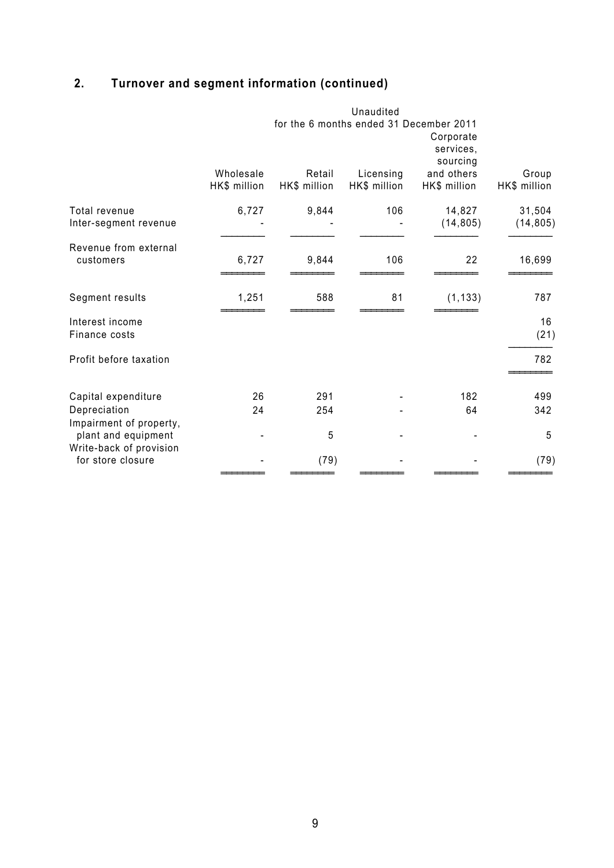## **2. Turnover and segment information (continued)**

|                                                                           |                                         |                        | Unaudited                 |                                    |                       |
|---------------------------------------------------------------------------|-----------------------------------------|------------------------|---------------------------|------------------------------------|-----------------------|
|                                                                           | for the 6 months ended 31 December 2011 |                        |                           | Corporate<br>services,<br>sourcing |                       |
|                                                                           | Wholesale<br>HK\$ million               | Retail<br>HK\$ million | Licensing<br>HK\$ million | and others<br>HK\$ million         | Group<br>HK\$ million |
| Total revenue<br>Inter-segment revenue                                    | 6,727                                   | 9,844                  | 106                       | 14,827<br>(14, 805)                | 31,504<br>(14, 805)   |
| Revenue from external<br>customers                                        | 6,727                                   | 9,844                  | 106                       | 22                                 | 16,699                |
| Segment results                                                           | 1,251                                   | 588                    | 81                        | (1, 133)                           | 787                   |
| Interest income<br>Finance costs                                          |                                         |                        |                           |                                    | 16<br>(21)            |
| Profit before taxation                                                    |                                         |                        |                           |                                    | 782                   |
| Capital expenditure                                                       | 26                                      | 291                    |                           | 182                                | 499                   |
| Depreciation                                                              | 24                                      | 254                    |                           | 64                                 | 342                   |
| Impairment of property,<br>plant and equipment<br>Write-back of provision |                                         | 5                      |                           |                                    | 5                     |
| for store closure                                                         |                                         | (79)                   |                           |                                    | (79)                  |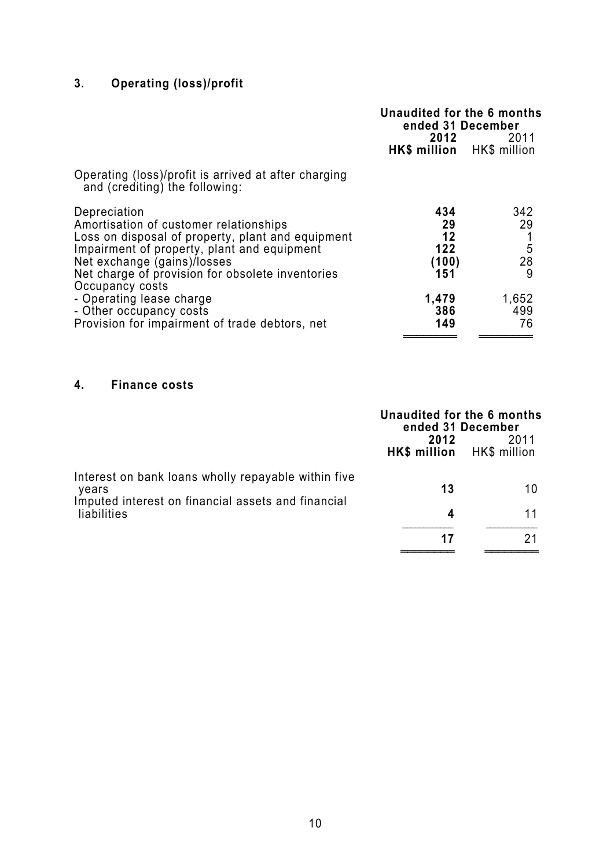## **3. Operating (loss)/profit**

|                                                                                                                                 | Unaudited for the 6 months<br>ended 31 December<br>2012 2011 |                    |
|---------------------------------------------------------------------------------------------------------------------------------|--------------------------------------------------------------|--------------------|
|                                                                                                                                 | HK\$ million HK\$ million                                    |                    |
| Operating (loss)/profit is arrived at after charging<br>and (crediting) the following:                                          |                                                              |                    |
| Depreciation<br>Amortisation of customer relationships                                                                          | 434<br>29                                                    | 342<br>29          |
| Loss on disposal of property, plant and equipment<br>Impairment of property, plant and equipment<br>Net exchange (gains)/losses | 12<br>122<br>(100)                                           | $\frac{5}{28}$     |
| Net charge of provision for obsolete inventories<br>Occupancy costs                                                             | 151                                                          | 9                  |
| - Operating lease charge<br>- Other occupancy costs<br>Provision for impairment of trade debtors, net                           | 1,479<br>386<br>149                                          | 1,652<br>499<br>76 |
|                                                                                                                                 |                                                              |                    |

## **4. Finance costs**

|                                                                   | Unaudited for the 6 months<br>ended 31 December |      |
|-------------------------------------------------------------------|-------------------------------------------------|------|
|                                                                   | 2012<br>HK\$ million HK\$ million               | 2011 |
| Interest on bank loans wholly repayable within five<br>years      | 13                                              | 10   |
| Imputed interest on financial assets and financial<br>liabilities | 4                                               | 11   |
|                                                                   | 17                                              | 21   |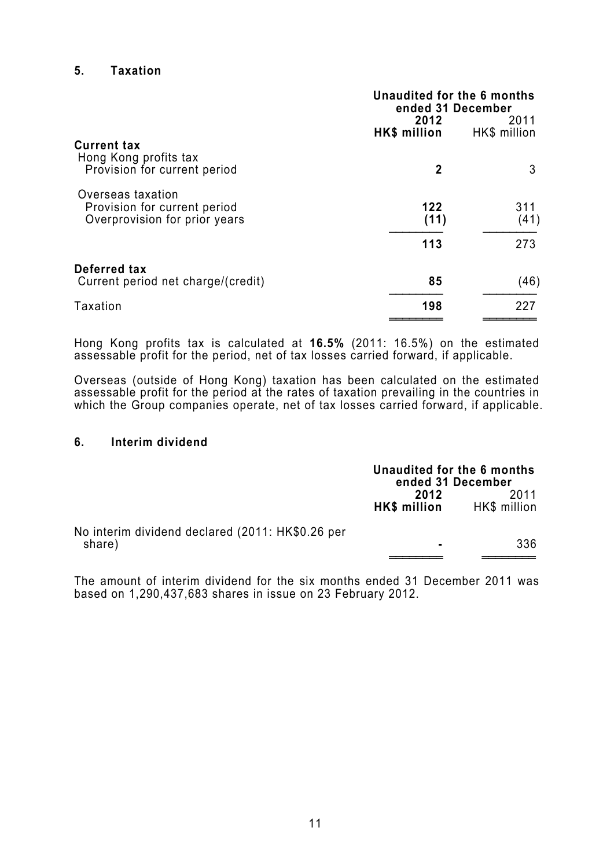#### **5. Taxation**

|                                                               | Unaudited for the 6 months<br>ended 31 December<br>2012<br>2011 |              |
|---------------------------------------------------------------|-----------------------------------------------------------------|--------------|
|                                                               | HK\$ million                                                    | HK\$ million |
| <b>Current tax</b><br>Hong Kong profits tax                   |                                                                 |              |
| Provision for current period                                  | 2                                                               | 3            |
| Overseas taxation                                             | 122                                                             | 311          |
| Provision for current period<br>Overprovision for prior years | (11)                                                            | (41)         |
|                                                               | 113                                                             | 273          |
| Deferred tax                                                  |                                                                 |              |
| Current period net charge/(credit)                            | 85                                                              | (46)         |
| Taxation                                                      | 198                                                             | 227          |
|                                                               |                                                                 |              |

Hong Kong profits tax is calculated at **16.5%** (2011: 16.5%) on the estimated assessable profit for the period, net of tax losses carried forward, if applicable.

Overseas (outside of Hong Kong) taxation has been calculated on the estimated assessable profit for the period at the rates of taxation prevailing in the countries in which the Group companies operate, net of tax losses carried forward, if applicable.

#### **6. Interim dividend**

|                                                            | Unaudited for the 6 months<br>ended 31 December |                      |
|------------------------------------------------------------|-------------------------------------------------|----------------------|
|                                                            | 2012<br>HK\$ million                            | 2011<br>HK\$ million |
| No interim dividend declared (2011: HK\$0.26 per<br>share) | ۰.                                              | 336                  |
|                                                            |                                                 |                      |

The amount of interim dividend for the six months ended 31 December 2011 was based on 1,290,437,683 shares in issue on 23 February 2012.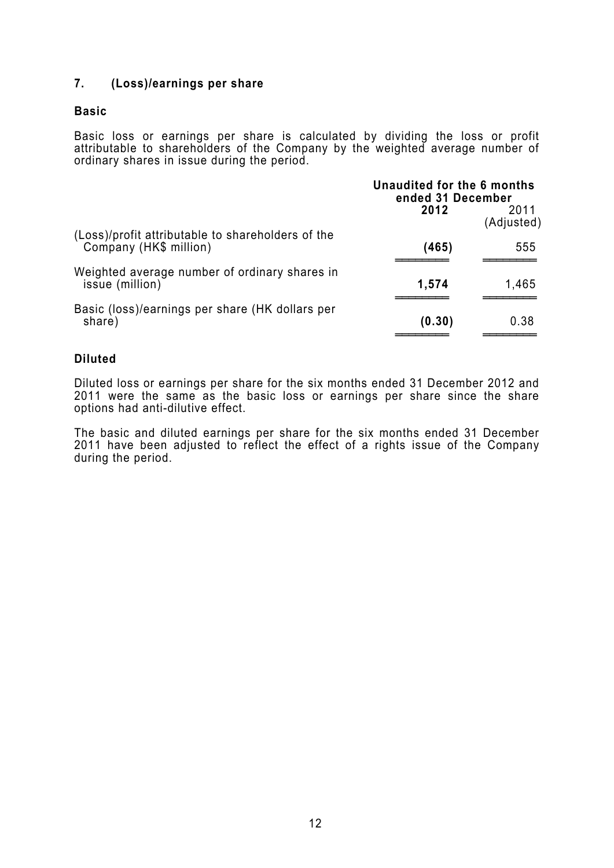#### **7. (Loss)/earnings per share**

#### **Basic**

Basic loss or earnings per share is calculated by dividing the loss or profit attributable to shareholders of the Company by the weighted average number of ordinary shares in issue during the period.

|                                                                             | Unaudited for the 6 months<br>ended 31 December |                    |
|-----------------------------------------------------------------------------|-------------------------------------------------|--------------------|
|                                                                             | 2012                                            | 2011<br>(Adjusted) |
| (Loss)/profit attributable to shareholders of the<br>Company (HK\$ million) | (465)                                           | 555                |
| Weighted average number of ordinary shares in<br>issue (million)            | 1,574                                           | 1,465              |
| Basic (loss)/earnings per share (HK dollars per<br>share)                   | (0.30)                                          | 0.38               |

#### **Diluted**

Diluted loss or earnings per share for the six months ended 31 December 2012 and 2011 were the same as the basic loss or earnings per share since the share options had anti-dilutive effect.

The basic and diluted earnings per share for the six months ended 31 December 2011 have been adjusted to reflect the effect of a rights issue of the Company during the period.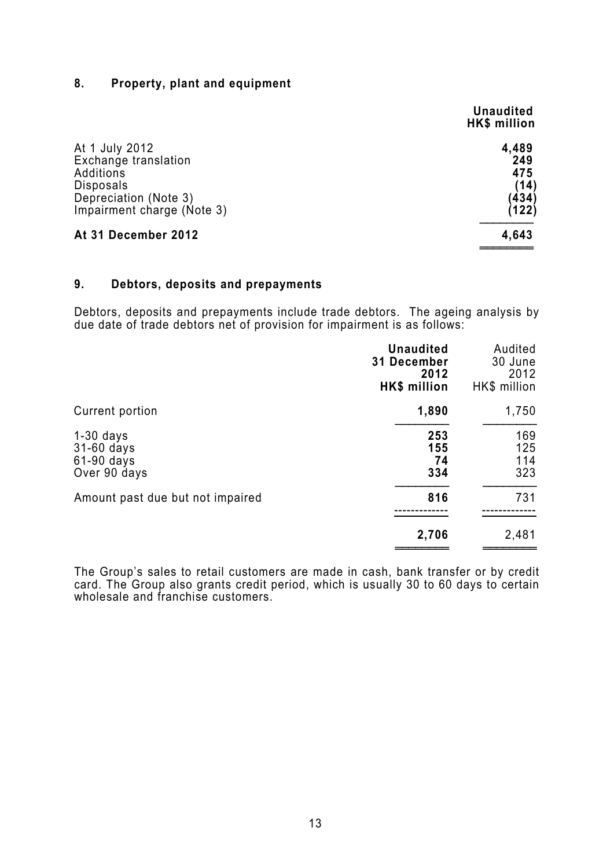### **8. Property, plant and equipment**

|                                                                                                  | <b>Unaudited</b><br>HK\$ million |
|--------------------------------------------------------------------------------------------------|----------------------------------|
| At 1 July 2012<br>Exchange translation<br>Additions<br><b>Disposals</b><br>Depreciation (Note 3) | 4,489<br>249<br>475<br>(14)      |
| Impairment charge (Note 3)                                                                       | (434)<br>(122)                   |
| At 31 December 2012                                                                              | 4,643                            |

#### **9. Debtors, deposits and prepayments**

Debtors, deposits and prepayments include trade debtors. The ageing analysis by due date of trade debtors net of provision for impairment is as follows:

|                                                         | <b>Unaudited</b><br>31 December<br>2012<br>HK\$ million | Audited<br>30 June<br>2012<br>HK\$ million |
|---------------------------------------------------------|---------------------------------------------------------|--------------------------------------------|
| Current portion                                         | 1,890                                                   | 1,750                                      |
| $1-30$ days<br>31-60 days<br>61-90 days<br>Over 90 days | 253<br>155<br>74<br>334                                 | 169<br>125<br>114<br>323                   |
| Amount past due but not impaired                        | 816                                                     | 731                                        |
|                                                         | 2,706                                                   | 2,481                                      |

The Group's sales to retail customers are made in cash, bank transfer or by credit card. The Group also grants credit period, which is usually 30 to 60 days to certain wholesale and franchise customers.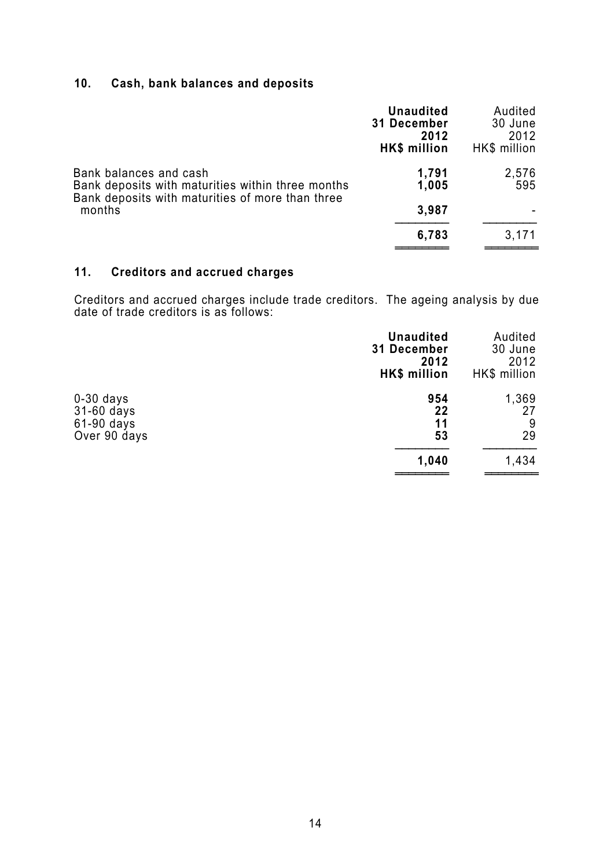## **10. Cash, bank balances and deposits**

|                                                                             | <b>Unaudited</b><br>31 December<br>2012<br><b>HK\$</b> million | Audited<br>30 June<br>2012<br>HK\$ million |
|-----------------------------------------------------------------------------|----------------------------------------------------------------|--------------------------------------------|
| Bank balances and cash<br>Bank deposits with maturities within three months | 1,791<br>1,005                                                 | 2,576<br>595                               |
| Bank deposits with maturities of more than three<br>months                  | 3,987                                                          |                                            |
|                                                                             | 6,783                                                          | 3,171                                      |

## **11. Creditors and accrued charges**

Creditors and accrued charges include trade creditors. The ageing analysis by due date of trade creditors is as follows:

|                                                         | <b>Unaudited</b><br>31 December<br>2012<br><b>HK\$ million</b> | Audited<br>30 June<br>2012<br>HK\$ million |
|---------------------------------------------------------|----------------------------------------------------------------|--------------------------------------------|
| $0-30$ days<br>31-60 days<br>61-90 days<br>Over 90 days | 954<br>22<br>11<br>53                                          | 1,369<br>27<br>9<br>29                     |
|                                                         | 1,040                                                          | 1,434                                      |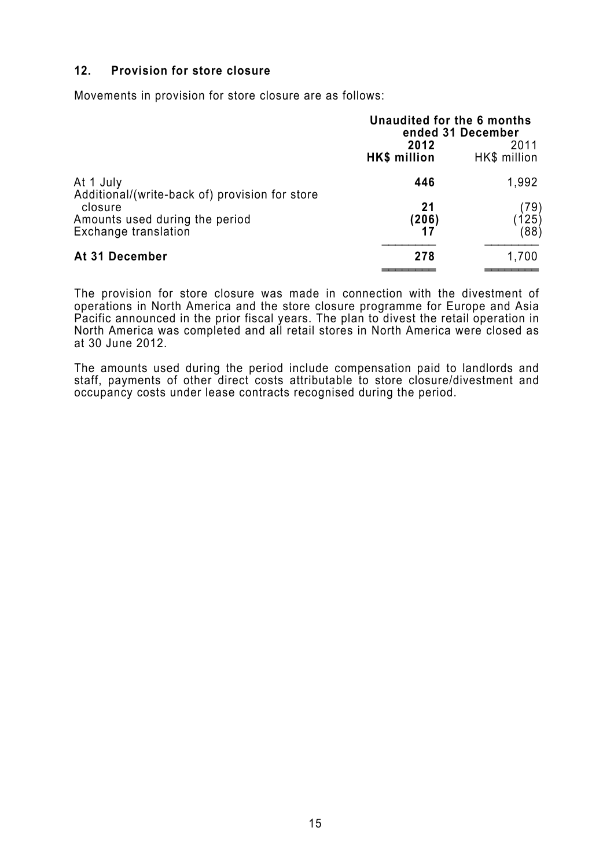#### **12. Provision for store closure**

Movements in provision for store closure are as follows:

|                                                             | Unaudited for the 6 months<br>ended 31 December<br>2012<br>2011<br>HK\$ million<br>HK\$ million |               |  |
|-------------------------------------------------------------|-------------------------------------------------------------------------------------------------|---------------|--|
| At 1 July<br>Additional/(write-back of) provision for store | 446                                                                                             | 1,992         |  |
| closure                                                     | 21                                                                                              | (79)          |  |
| Amounts used during the period<br>Exchange translation      | (206)<br>17                                                                                     | (125)<br>(88) |  |
| At 31 December                                              | 278                                                                                             | 1,700         |  |

The provision for store closure was made in connection with the divestment of operations in North America and the store closure programme for Europe and Asia Pacific announced in the prior fiscal years. The plan to divest the retail operation in North America was completed and all retail stores in North America were closed as at 30 June 2012.

The amounts used during the period include compensation paid to landlords and staff, payments of other direct costs attributable to store closure/divestment and occupancy costs under lease contracts recognised during the period.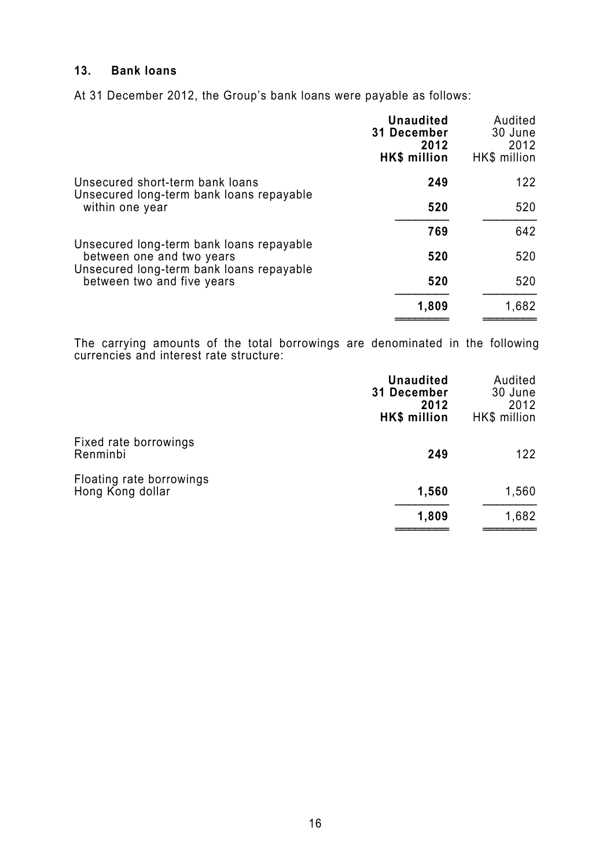## **13. Bank loans**

At 31 December 2012, the Group's bank loans were payable as follows:

|                                                                                                                                                 | <b>Unaudited</b><br>31 December<br>2012<br>HK\$ million | Audited<br>30 June<br>2012<br>HK\$ million |
|-------------------------------------------------------------------------------------------------------------------------------------------------|---------------------------------------------------------|--------------------------------------------|
| Unsecured short-term bank loans                                                                                                                 | 249                                                     | 122                                        |
| Unsecured long-term bank loans repayable<br>within one year                                                                                     | 520                                                     | 520                                        |
|                                                                                                                                                 | 769                                                     | 642                                        |
| Unsecured long-term bank loans repayable<br>between one and two years<br>Unsecured long-term bank loans repayable<br>between two and five years | 520                                                     | 520                                        |
|                                                                                                                                                 | 520                                                     | 520                                        |
|                                                                                                                                                 | 1,809                                                   | 1,682                                      |

The carrying amounts of the total borrowings are denominated in the following currencies and interest rate structure:

|                                              | <b>Unaudited</b><br><b>31 December</b><br>2012<br>HK\$ million | Audited<br>30 June<br>2012<br>HK\$ million |
|----------------------------------------------|----------------------------------------------------------------|--------------------------------------------|
| Fixed rate borrowings<br>Renminbi            | 249                                                            | 122                                        |
| Floating rate borrowings<br>Hong Kong dollar | 1,560                                                          | 1,560                                      |
|                                              | 1,809                                                          | 1,682                                      |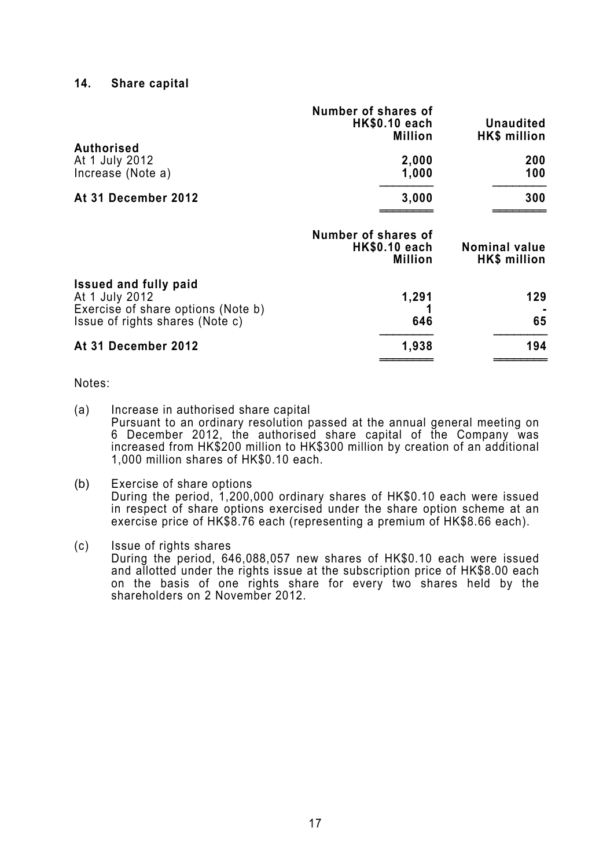#### **14. Share capital**

|                                                                                                                         | Number of shares of<br><b>HK\$0.10 each</b><br><b>Million</b> | <b>Unaudited</b><br><b>HK\$</b> million |
|-------------------------------------------------------------------------------------------------------------------------|---------------------------------------------------------------|-----------------------------------------|
| <b>Authorised</b><br>At 1 July 2012<br>Increase (Note a)                                                                | 2,000<br>1,000                                                | 200<br>100                              |
| At 31 December 2012                                                                                                     | 3,000                                                         | 300                                     |
|                                                                                                                         | Number of shares of<br><b>HK\$0.10 each</b><br><b>Million</b> | <b>Nominal value</b><br>HK\$ million    |
| <b>Issued and fully paid</b><br>At 1 July 2012<br>Exercise of share options (Note b)<br>Issue of rights shares (Note c) | 1,291<br>646                                                  | 129<br>65                               |
| At 31 December 2012                                                                                                     | 1,938                                                         | 194                                     |

#### Notes:

- (a) Increase in authorised share capital Pursuant to an ordinary resolution passed at the annual general meeting on 6 December 2012, the authorised share capital of the Company was increased from HK\$200 million to HK\$300 million by creation of an additional 1,000 million shares of HK\$0.10 each.
- (b) Exercise of share options During the period, 1,200,000 ordinary shares of HK\$0.10 each were issued in respect of share options exercised under the share option scheme at an exercise price of HK\$8.76 each (representing a premium of HK\$8.66 each).
- (c) Issue of rights shares During the period, 646,088,057 new shares of HK\$0.10 each were issued and allotted under the rights issue at the subscription price of HK\$8.00 each on the basis of one rights share for every two shares held by the shareholders on 2 November 2012.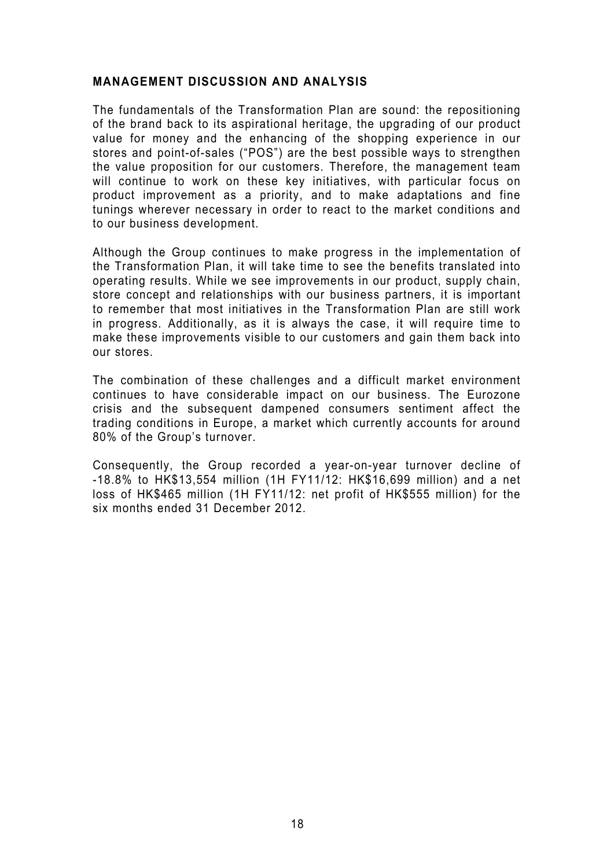#### **MANAGEMENT DISCUSSION AND ANALYSIS**

The fundamentals of the Transformation Plan are sound: the repositioning of the brand back to its aspirational heritage, the upgrading of our product value for money and the enhancing of the shopping experience in our stores and point-of-sales ("POS") are the best possible ways to strengthen the value proposition for our customers. Therefore, the management team will continue to work on these key initiatives, with particular focus on product improvement as a priority, and to make adaptations and fine tunings wherever necessary in order to react to the market conditions and to our business development.

Although the Group continues to make progress in the implementation of the Transformation Plan, it will take time to see the benefits translated into operating results. While we see improvements in our product, supply chain, store concept and relationships with our business partners, it is important to remember that most initiatives in the Transformation Plan are still work in progress. Additionally, as it is always the case, it will require time to make these improvements visible to our customers and gain them back into our stores.

The combination of these challenges and a difficult market environment continues to have considerable impact on our business. The Eurozone crisis and the subsequent dampened consumers sentiment affect the trading conditions in Europe, a market which currently accounts for around 80% of the Group's turnover.

Consequently, the Group recorded a year-on-year turnover decline of -18.8% to HK\$13,554 million (1H FY11/12: HK\$16,699 million) and a net loss of HK\$465 million (1H FY11/12: net profit of HK\$555 million) for the six months ended 31 December 2012.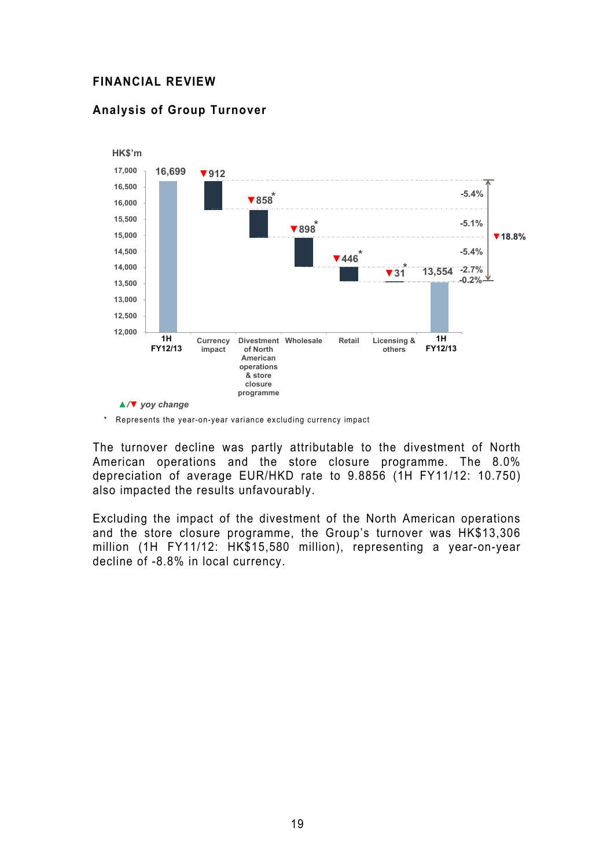#### **FINANCIAL REVIEW**

#### **Analysis of Group Turnover**



\* Represents the year-on-year variance excluding currency impact

The turnover decline was partly attributable to the divestment of North American operations and the store closure programme. The 8.0% depreciation of average EUR/HKD rate to 9.8856 (1H FY11/12: 10.750) also impacted the results unfavourably.

Excluding the impact of the divestment of the North American operations and the store closure programme, the Group's turnover was HK\$13,306 million (1H FY11/12: HK\$15,580 million), representing a year-on-year decline of -8.8% in local currency.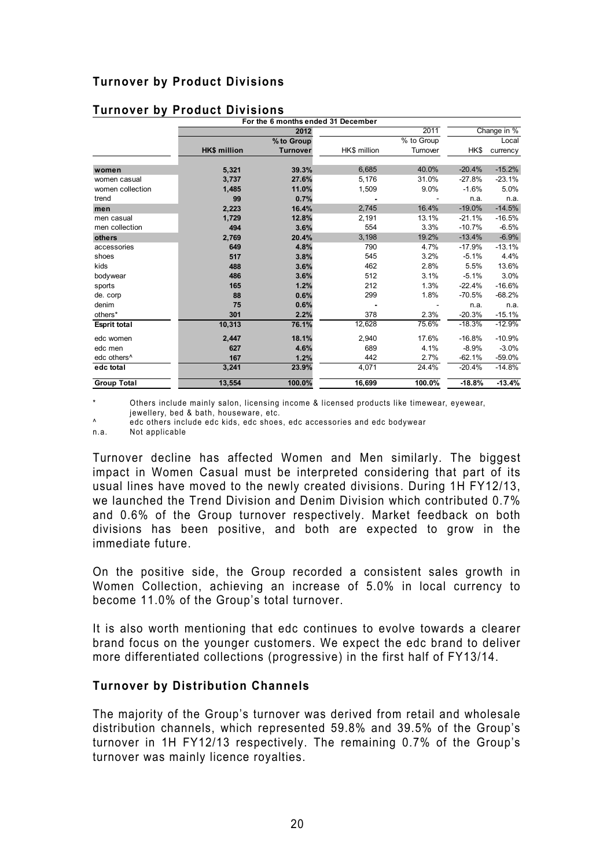|                         |                     | For the 6 months ended 31 December |              |            |          |             |
|-------------------------|---------------------|------------------------------------|--------------|------------|----------|-------------|
|                         |                     | 2012                               |              | 2011       |          | Change in % |
|                         |                     | % to Group                         |              | % to Group |          | Local       |
|                         | <b>HK\$ million</b> | <b>Turnover</b>                    | HK\$ million | Turnover   | HK\$     | currency    |
|                         |                     |                                    |              |            |          |             |
| women                   | 5,321               | 39.3%                              | 6,685        | 40.0%      | $-20.4%$ | $-15.2%$    |
| women casual            | 3,737               | 27.6%                              | 5,176        | 31.0%      | $-27.8%$ | $-23.1%$    |
| women collection        | 1,485               | 11.0%                              | 1,509        | 9.0%       | $-1.6%$  | 5.0%        |
| trend                   | 99                  | 0.7%                               |              |            | n.a.     | n.a.        |
| men                     | 2,223               | 16.4%                              | 2,745        | 16.4%      | $-19.0%$ | $-14.5%$    |
| men casual              | 1,729               | 12.8%                              | 2,191        | 13.1%      | $-21.1%$ | $-16.5%$    |
| men collection          | 494                 | 3.6%                               | 554          | 3.3%       | $-10.7%$ | $-6.5%$     |
| others                  | 2,769               | 20.4%                              | 3,198        | 19.2%      | $-13.4%$ | $-6.9%$     |
| accessories             | 649                 | 4.8%                               | 790          | 4.7%       | $-17.9%$ | $-13.1%$    |
| shoes                   | 517                 | 3.8%                               | 545          | 3.2%       | $-5.1%$  | 4.4%        |
| kids                    | 488                 | 3.6%                               | 462          | 2.8%       | 5.5%     | 13.6%       |
| bodywear                | 486                 | 3.6%                               | 512          | 3.1%       | $-5.1%$  | 3.0%        |
| sports                  | 165                 | 1.2%                               | 212          | 1.3%       | $-22.4%$ | $-16.6%$    |
| de. corp                | 88                  | 0.6%                               | 299          | 1.8%       | $-70.5%$ | $-68.2%$    |
| denim                   | 75                  | 0.6%                               |              |            | n.a.     | n.a.        |
| others*                 | 301                 | 2.2%                               | 378          | 2.3%       | $-20.3%$ | $-15.1%$    |
| <b>Esprit total</b>     | 10,313              | 76.1%                              | 12,628       | 75.6%      | $-18.3%$ | $-12.9%$    |
| edc women               | 2,447               | 18.1%                              | 2,940        | 17.6%      | $-16.8%$ | $-10.9%$    |
| edc men                 | 627                 | 4.6%                               | 689          | 4.1%       | $-8.9%$  | $-3.0%$     |
| edc others <sup>^</sup> | 167                 | 1.2%                               | 442          | 2.7%       | $-62.1%$ | $-59.0%$    |
| edc total               | 3,241               | 23.9%                              | 4,071        | 24.4%      | $-20.4%$ | $-14.8%$    |
| <b>Group Total</b>      | 13.554              | 100.0%                             | 16.699       | 100.0%     | $-18.8%$ | $-13.4%$    |

#### **Turnover by Product Divisions**

Others include mainly salon, licensing income & licensed products like timewear, eyewear, jewellery, bed & bath, houseware, etc.

A edc others include edc kids, edc shoes, edc accessories and edc bodywear

n.a. Not applicable

Turnover decline has affected Women and Men similarly. The biggest impact in Women Casual must be interpreted considering that part of its usual lines have moved to the newly created divisions. During 1H FY12/13, we launched the Trend Division and Denim Division which contributed 0.7% and 0.6% of the Group turnover respectively. Market feedback on both divisions has been positive, and both are expected to grow in the immediate future.

On the positive side, the Group recorded a consistent sales growth in Women Collection, achieving an increase of 5.0% in local currency to become 11.0% of the Group's total turnover.

It is also worth mentioning that edc continues to evolve towards a clearer brand focus on the younger customers. We expect the edc brand to deliver more differentiated collections (progressive) in the first half of FY13/14.

#### **Turnover by Distribution Channels**

The majority of the Group's turnover was derived from retail and wholesale distribution channels, which represented 59.8% and 39.5% of the Group's turnover in 1H FY12/13 respectively. The remaining 0.7% of the Group's turnover was mainly licence royalties.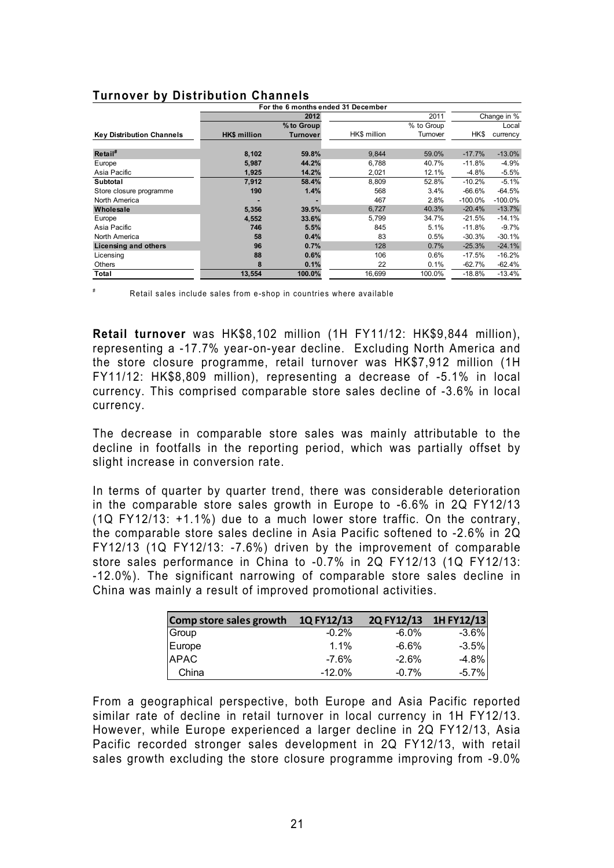|                                  |                     | For the 6 months ended 31 December |              |            |           |             |
|----------------------------------|---------------------|------------------------------------|--------------|------------|-----------|-------------|
|                                  |                     | 2012                               |              | 2011       |           | Change in % |
|                                  |                     | % to Group                         |              | % to Group |           | Local       |
| <b>Key Distribution Channels</b> | <b>HK\$ million</b> | <b>Turnover</b>                    | HK\$ million | Turnover   | HK\$      | currency    |
| Retail <sup>#</sup>              | 8,102               | 59.8%                              | 9,844        | 59.0%      | $-17.7%$  | $-13.0%$    |
| Europe                           | 5,987               | 44.2%                              | 6.788        | 40.7%      | $-11.8%$  | $-4.9%$     |
| Asia Pacific                     | 1,925               | 14.2%                              | 2,021        | 12.1%      | $-4.8%$   | $-5.5%$     |
| Subtotal                         | 7,912               | 58.4%                              | 8,809        | 52.8%      | $-10.2%$  | $-5.1%$     |
| Store closure programme          | 190                 | 1.4%                               | 568          | 3.4%       | $-66.6%$  | $-64.5%$    |
| North America                    |                     |                                    | 467          | 2.8%       | $-100.0%$ | $-100.0%$   |
| Wholesale                        | 5,356               | 39.5%                              | 6,727        | 40.3%      | $-20.4%$  | $-13.7%$    |
| Europe                           | 4,552               | 33.6%                              | 5.799        | 34.7%      | $-21.5%$  | $-14.1%$    |
| Asia Pacific                     | 746                 | 5.5%                               | 845          | 5.1%       | $-11.8%$  | $-9.7%$     |
| North America                    | 58                  | 0.4%                               | 83           | 0.5%       | $-30.3%$  | $-30.1%$    |
| Licensing and others             | 96                  | 0.7%                               | 128          | 0.7%       | $-25.3%$  | $-24.1%$    |
| Licensing                        | 88                  | 0.6%                               | 106          | 0.6%       | $-17.5%$  | $-16.2%$    |
| Others                           | 8                   | 0.1%                               | 22           | 0.1%       | $-62.7%$  | $-62.4%$    |
| Total                            | 13,554              | 100.0%                             | 16,699       | 100.0%     | $-18.8%$  | $-13.4%$    |

#### **Turnover by Distribution Channels**

# Retail sales include sales from e-shop in countries where available

**Retail turnover** was HK\$8,102 million (1H FY11/12: HK\$9,844 million), representing a -17.7% year-on-year decline. Excluding North America and the store closure programme, retail turnover was HK\$7,912 million (1H FY11/12: HK\$8,809 million), representing a decrease of -5.1% in local currency. This comprised comparable store sales decline of -3.6% in local currency.

The decrease in comparable store sales was mainly attributable to the decline in footfalls in the reporting period, which was partially offset by slight increase in conversion rate.

In terms of quarter by quarter trend, there was considerable deterioration in the comparable store sales growth in Europe to -6.6% in 2Q FY12/13 (1Q FY12/13: +1.1%) due to a much lower store traffic. On the contrary, the comparable store sales decline in Asia Pacific softened to -2.6% in 2Q FY12/13 (1Q FY12/13: -7.6%) driven by the improvement of comparable store sales performance in China to -0.7% in 2Q FY12/13 (1Q FY12/13: -12.0%). The significant narrowing of comparable store sales decline in China was mainly a result of improved promotional activities.

| Comp store sales growth | 1QFY12/13 | 2Q FY12/13 1H FY12/13 |         |
|-------------------------|-----------|-----------------------|---------|
|                         | $-0.2%$   | $-6.0\%$              | $-3.6%$ |
| Group<br>Europe         | $1.1\%$   | $-6.6%$               | $-3.5%$ |
| <b>APAC</b>             | $-7.6%$   | $-2.6%$               | $-4.8%$ |
| China                   | $-12.0\%$ | $-0.7%$               | $-5.7%$ |

From a geographical perspective, both Europe and Asia Pacific reported similar rate of decline in retail turnover in local currency in 1H FY12/13. However, while Europe experienced a larger decline in 2Q FY12/13, Asia Pacific recorded stronger sales development in 2Q FY12/13, with retail sales growth excluding the store closure programme improving from -9.0%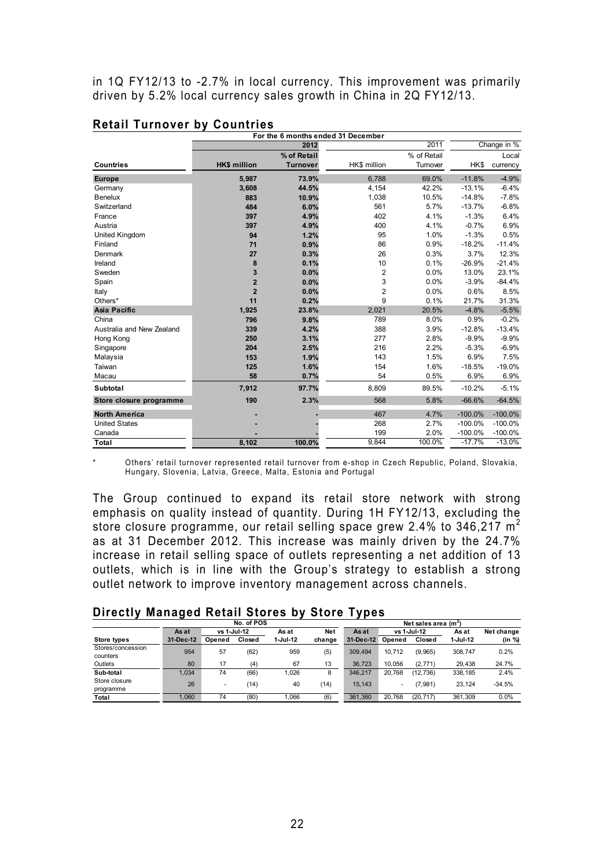in 1Q FY12/13 to -2.7% in local currency. This improvement was primarily driven by 5.2% local currency sales growth in China in 2Q FY12/13.

|                           |                         | For the 6 months ended 31 December |                |             |           |             |
|---------------------------|-------------------------|------------------------------------|----------------|-------------|-----------|-------------|
|                           |                         | 2012                               |                | 2011        |           | Change in % |
|                           |                         | % of Retail                        |                | % of Retail |           | Local       |
| <b>Countries</b>          | <b>HK\$ million</b>     | <b>Turnover</b>                    | HK\$ million   | Turnover    | HK\$      | currency    |
| <b>Europe</b>             | 5,987                   | 73.9%                              | 6,788          | 69.0%       | $-11.8%$  | $-4.9%$     |
| Germany                   | 3,608                   | 44.5%                              | 4,154          | 42.2%       | $-13.1%$  | $-6.4%$     |
| Benelux                   | 883                     | 10.9%                              | 1,038          | 10.5%       | $-14.8%$  | $-7.8%$     |
| Switzerland               | 484                     | 6.0%                               | 561            | 5.7%        | $-13.7%$  | $-6.8%$     |
| France                    | 397                     | 4.9%                               | 402            | 4.1%        | $-1.3%$   | 6.4%        |
| Austria                   | 397                     | 4.9%                               | 400            | 4.1%        | $-0.7%$   | 6.9%        |
| United Kingdom            | 94                      | 1.2%                               | 95             | 1.0%        | $-1.3%$   | 0.5%        |
| Finland                   | 71                      | 0.9%                               | 86             | 0.9%        | $-18.2%$  | $-11.4%$    |
| Denmark                   | 27                      | 0.3%                               | 26             | 0.3%        | 3.7%      | 12.3%       |
| Ireland                   | 8                       | 0.1%                               | 10             | 0.1%        | $-26.9%$  | $-21.4%$    |
| Sweden                    | 3                       | 0.0%                               | 2              | 0.0%        | 13.0%     | 23.1%       |
| Spain                     | $\overline{\mathbf{2}}$ | 0.0%                               | 3              | 0.0%        | $-3.9%$   | $-84.4%$    |
| Italy                     | $\overline{2}$          | 0.0%                               | $\overline{2}$ | 0.0%        | 0.6%      | 8.5%        |
| Others*                   | 11                      | 0.2%                               | 9              | 0.1%        | 21.7%     | 31.3%       |
| <b>Asia Pacific</b>       | 1,925                   | 23.8%                              | 2,021          | 20.5%       | $-4.8%$   | $-5.5%$     |
| China                     | 796                     | 9.8%                               | 789            | 8.0%        | 0.9%      | $-0.2%$     |
| Australia and New Zealand | 339                     | 4.2%                               | 388            | 3.9%        | $-12.8%$  | $-13.4%$    |
| Hong Kong                 | 250                     | 3.1%                               | 277            | 2.8%        | $-9.9%$   | $-9.9%$     |
| Singapore                 | 204                     | 2.5%                               | 216            | 2.2%        | $-5.3%$   | $-6.9%$     |
| Malaysia                  | 153                     | 1.9%                               | 143            | 1.5%        | 6.9%      | 7.5%        |
| Taiwan                    | 125                     | 1.6%                               | 154            | 1.6%        | $-18.5%$  | $-19.0%$    |
| Macau                     | 58                      | 0.7%                               | 54             | 0.5%        | 6.9%      | 6.9%        |
| Subtotal                  | 7,912                   | 97.7%                              | 8,809          | 89.5%       | $-10.2%$  | $-5.1%$     |
| Store closure programme   | 190                     | 2.3%                               | 568            | 5.8%        | $-66.6%$  | $-64.5%$    |
| <b>North America</b>      |                         |                                    | 467            | 4.7%        | $-100.0%$ | $-100.0\%$  |
| <b>United States</b>      |                         |                                    | 268            | 2.7%        | $-100.0%$ | $-100.0\%$  |
| Canada                    |                         |                                    | 199            | 2.0%        | $-100.0%$ | $-100.0%$   |
| Total                     | 8,102                   | 100.0%                             | 9,844          | 100.0%      | $-17.7%$  | $-13.0%$    |

#### **Retail Turnover by Countries**

Others' retail turnover represented retail turnover from e-shop in Czech Republic, Poland, Slovakia, Hungary, Slovenia, Latvia, Greece, Malta, Estonia and Portugal

The Group continued to expand its retail store network with strong emphasis on quality instead of quantity. During 1H FY12/13, excluding the store closure programme, our retail selling space grew 2.4% to 346,217 m<sup>2</sup> as at 31 December 2012. This increase was mainly driven by the 24.7% increase in retail selling space of outlets representing a net addition of 13 outlets, which is in line with the Group's strategy to establish a strong outlet network to improve inventory management across channels.

| Directly Managed Retail Stores by Store Types |  |  |  |
|-----------------------------------------------|--|--|--|
|-----------------------------------------------|--|--|--|

|                   |           |             | No. of POS |          |        | Net sales area (m <sup>2</sup> ) |             |           |          |            |  |
|-------------------|-----------|-------------|------------|----------|--------|----------------------------------|-------------|-----------|----------|------------|--|
|                   | As at     | vs 1-Jul-12 |            | As at    | Net    |                                  | vs 1-Jul-12 |           | As at    | Net change |  |
| Store types       | 31-Dec-12 | Opened      | Closed     | 1-Jul-12 | change | 31-Dec-12                        | Opened      | Closed    | 1-Jul-12 | (in %)     |  |
| Stores/concession | 954       | 57          | (62)       | 959      | (5)    | 309.494                          | 10.712      | (9.965)   | 308.747  | 0.2%       |  |
| counters          |           |             |            |          |        |                                  |             |           |          |            |  |
| Outlets           | 80        | 17          | (4)        | 67       | 13     | 36.723                           | 10.056      | (2, 771)  | 29.438   | 24.7%      |  |
| Sub-total         | 1.034     | 74          | (66)       | 1.026    | 8      | 346.217                          | 20.768      | (12, 736) | 338.185  | 2.4%       |  |
| Store closure     | 26        |             | (14)       | 40       |        |                                  |             |           | 23.124   | $-34.5%$   |  |
| programme         |           | -           |            |          | (14)   | 15.143                           | -           | (7.981)   |          |            |  |
| Total             | 1.060     | 74          | (80)       | 1.066    | (6)    | 361.360                          | 20.768      | (20.717)  | 361.309  | 0.0%       |  |
|                   |           |             |            |          |        |                                  |             |           |          |            |  |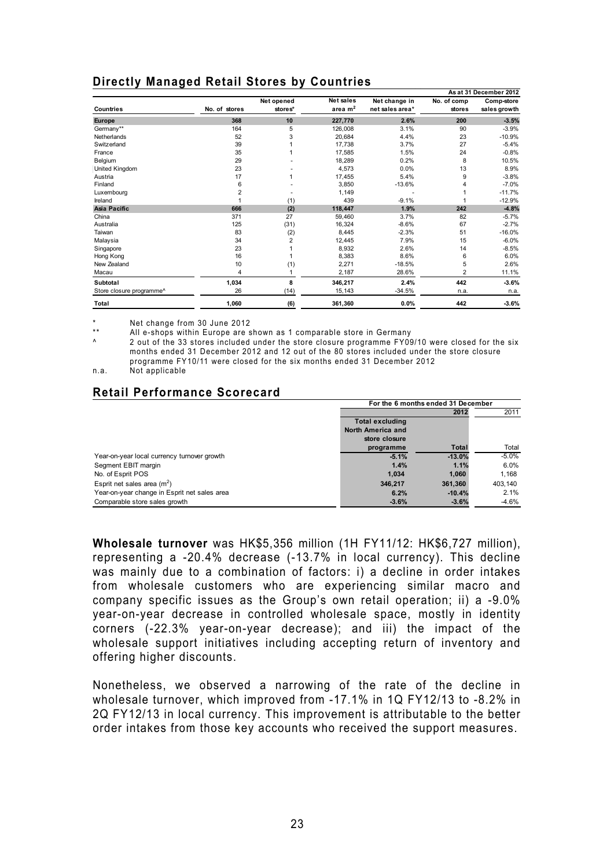## **Directly Managed Retail Stores by Countries**

|                          |                |                |           |                 |                | As at 31 December 2012 |
|--------------------------|----------------|----------------|-----------|-----------------|----------------|------------------------|
|                          |                | Net opened     | Net sales | Net change in   | No. of comp    | Comp-store             |
| <b>Countries</b>         | No. of stores  | stores*        | area $m2$ | net sales area* | stores         | sales growth           |
| <b>Europe</b>            | 368            | 10             | 227,770   | 2.6%            | 200            | $-3.5%$                |
| Germany**                | 164            | 5              | 126,008   | 3.1%            | 90             | $-3.9%$                |
| Netherlands              | 52             | 3              | 20,684    | 4.4%            | 23             | $-10.9%$               |
| Switzerland              | 39             |                | 17,738    | 3.7%            | 27             | $-5.4%$                |
| France                   | 35             | 1              | 17,585    | 1.5%            | 24             | $-0.8%$                |
| Belgium                  | 29             |                | 18,289    | 0.2%            | 8              | 10.5%                  |
| <b>United Kingdom</b>    | 23             |                | 4,573     | 0.0%            | 13             | 8.9%                   |
| Austria                  | 17             | 1              | 17.455    | 5.4%            | 9              | $-3.8%$                |
| Finland                  | 6              |                | 3,850     | $-13.6%$        | 4              | $-7.0%$                |
| Luxembourg               | $\overline{c}$ |                | 1,149     |                 |                | $-11.7%$               |
| Ireland                  |                | (1)            | 439       | $-9.1%$         |                | $-12.9%$               |
| Asia Pacific             | 666            | (2)            | 118,447   | 1.9%            | 242            | $-4.8%$                |
| China                    | 371            | 27             | 59,460    | 3.7%            | 82             | $-5.7\%$               |
| Australia                | 125            | (31)           | 16.324    | $-8.6%$         | 67             | $-2.7%$                |
| Taiwan                   | 83             | (2)            | 8,445     | $-2.3%$         | 51             | $-16.0%$               |
| Malaysia                 | 34             | $\overline{2}$ | 12.445    | 7.9%            | 15             | $-6.0\%$               |
| Singapore                | 23             |                | 8,932     | 2.6%            | 14             | $-8.5%$                |
| Hong Kong                | 16             |                | 8,383     | 8.6%            | 6              | 6.0%                   |
| New Zealand              | 10             | (1)            | 2,271     | $-18.5%$        | 5              | 2.6%                   |
| Macau                    | 4              | 1              | 2,187     | 28.6%           | $\overline{2}$ | 11.1%                  |
| Subtotal                 | 1,034          | 8              | 346,217   | 2.4%            | 442            | $-3.6%$                |
| Store closure programme^ | 26             | (14)           | 15,143    | $-34.5%$        | n.a.           | n.a.                   |
| Total                    | 1,060          | (6)            | 361,360   | 0.0%            | 442            | $-3.6%$                |

\* Net change from 30 June 2012

All e-shops within Europe are shown as 1 comparable store in Germany

2 out of the 33 stores included under the store closure programme FY09/10 were closed for the six months ended 31 December 2012 and 12 out of the 80 stores included under the store closure programme FY10/11 were closed for the six months ended 31 December 2012

n.a. Not applicable

## **Retail Performance Scorecard**

|                                              | For the 6 months ended 31 December |              |         |  |  |
|----------------------------------------------|------------------------------------|--------------|---------|--|--|
|                                              |                                    | 2012         | 2011    |  |  |
|                                              | <b>Total excluding</b>             |              |         |  |  |
|                                              | North America and                  |              |         |  |  |
|                                              | store closure                      |              |         |  |  |
|                                              | programme                          | <b>Total</b> | Total   |  |  |
| Year-on-year local currency turnover growth  | $-5.1%$                            | $-13.0%$     | $-5.0%$ |  |  |
| Segment EBIT margin                          | 1.4%                               | 1.1%         | 6.0%    |  |  |
| No. of Esprit POS                            | 1.034                              | 1.060        | 1.168   |  |  |
| Esprit net sales area $(m^2)$                | 346.217                            | 361.360      | 403.140 |  |  |
| Year-on-year change in Esprit net sales area | 6.2%                               | $-10.4%$     | 2.1%    |  |  |
| Comparable store sales growth                | $-3.6%$                            | $-3.6%$      | $-4.6%$ |  |  |

**Wholesale turnover** was HK\$5,356 million (1H FY11/12: HK\$6,727 million), representing a -20.4% decrease (-13.7% in local currency). This decline was mainly due to a combination of factors: i) a decline in order intakes from wholesale customers who are experiencing similar macro and company specific issues as the Group's own retail operation; ii) a -9.0% year-on-year decrease in controlled wholesale space, mostly in identity corners (-22.3% year-on-year decrease); and iii) the impact of the wholesale support initiatives including accepting return of inventory and offering higher discounts.

Nonetheless, we observed a narrowing of the rate of the decline in wholesale turnover, which improved from -17.1% in 1Q FY12/13 to -8.2% in 2Q FY12/13 in local currency. This improvement is attributable to the better order intakes from those key accounts who received the support measures.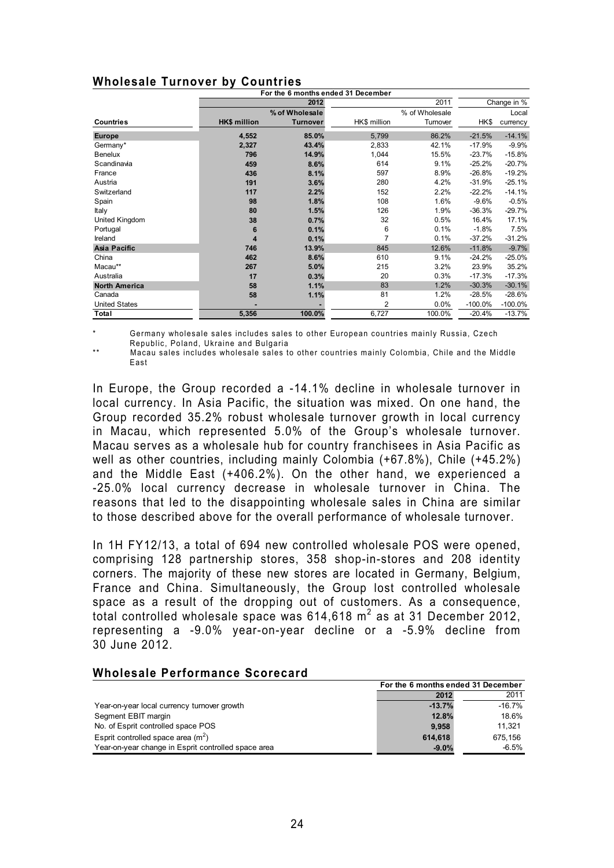|  | <b>Wholesale Turnover by Countries</b> |
|--|----------------------------------------|
|  |                                        |

|                      |                     |                 | For the 6 months ended 31 December |                |            |             |
|----------------------|---------------------|-----------------|------------------------------------|----------------|------------|-------------|
|                      |                     | 2012            |                                    | 2011           |            | Change in % |
|                      |                     | % of Wholesale  |                                    | % of Wholesale |            | Local       |
| <b>Countries</b>     | <b>HK\$ million</b> | <b>Turnover</b> | HK\$ million                       | Turnover       | HK\$       | currency    |
| <b>Europe</b>        | 4,552               | 85.0%           | 5,799                              | 86.2%          | $-21.5%$   | $-14.1%$    |
| Germany*             | 2,327               | 43.4%           | 2,833                              | 42.1%          | $-17.9%$   | $-9.9%$     |
| Benelux              | 796                 | 14.9%           | 1,044                              | 15.5%          | $-23.7%$   | $-15.8%$    |
| Scandinavia          | 459                 | 8.6%            | 614                                | 9.1%           | $-25.2%$   | $-20.7%$    |
| France               | 436                 | 8.1%            | 597                                | 8.9%           | $-26.8%$   | $-19.2%$    |
| Austria              | 191                 | 3.6%            | 280                                | 4.2%           | $-31.9%$   | $-25.1%$    |
| Switzerland          | 117                 | 2.2%            | 152                                | 2.2%           | $-22.2%$   | $-14.1%$    |
| Spain                | 98                  | 1.8%            | 108                                | 1.6%           | $-9.6%$    | $-0.5%$     |
| Italy                | 80                  | 1.5%            | 126                                | 1.9%           | $-36.3%$   | $-29.7%$    |
| United Kingdom       | 38                  | 0.7%            | 32                                 | 0.5%           | 16.4%      | 17.1%       |
| Portugal             | 6                   | 0.1%            | 6                                  | 0.1%           | $-1.8%$    | 7.5%        |
| Ireland              | 4                   | 0.1%            | $\overline{7}$                     | 0.1%           | $-37.2%$   | $-31.2%$    |
| <b>Asia Pacific</b>  | 746                 | 13.9%           | 845                                | 12.6%          | $-11.8%$   | $-9.7%$     |
| China                | 462                 | 8.6%            | 610                                | 9.1%           | $-24.2%$   | $-25.0%$    |
| Macau**              | 267                 | 5.0%            | 215                                | 3.2%           | 23.9%      | 35.2%       |
| Australia            | 17                  | 0.3%            | 20                                 | 0.3%           | $-17.3%$   | $-17.3%$    |
| <b>North America</b> | 58                  | 1.1%            | 83                                 | 1.2%           | $-30.3%$   | $-30.1%$    |
| Canada               | 58                  | 1.1%            | 81                                 | 1.2%           | $-28.5%$   | $-28.6%$    |
| <b>United States</b> |                     |                 | $\overline{2}$                     | 0.0%           | $-100.0\%$ | $-100.0\%$  |
| <b>Total</b>         | 5,356               | 100.0%          | 6,727                              | 100.0%         | $-20.4%$   | $-13.7%$    |

Germany wholesale sales includes sales to other European countries mainly Russia, Czech Republic, Poland, Ukraine and Bulgaria

Macau sales includes wholesale sales to other countries mainly Colombia, Chile and the Middle East

In Europe, the Group recorded a -14.1% decline in wholesale turnover in local currency. In Asia Pacific, the situation was mixed. On one hand, the Group recorded 35.2% robust wholesale turnover growth in local currency in Macau, which represented 5.0% of the Group's wholesale turnover. Macau serves as a wholesale hub for country franchisees in Asia Pacific as well as other countries, including mainly Colombia (+67.8%), Chile (+45.2%) and the Middle East (+406.2%). On the other hand, we experienced a -25.0% local currency decrease in wholesale turnover in China. The reasons that led to the disappointing wholesale sales in China are similar to those described above for the overall performance of wholesale turnover.

In 1H FY12/13, a total of 694 new controlled wholesale POS were opened, comprising 128 partnership stores, 358 shop-in-stores and 208 identity corners. The majority of these new stores are located in Germany, Belgium, France and China. Simultaneously, the Group lost controlled wholesale space as a result of the dropping out of customers. As a consequence, total controlled wholesale space was  $614,618$  m<sup>2</sup> as at 31 December 2012, representing a -9.0% year-on-year decline or a -5.9% decline from 30 June 2012.

|                                                     | For the 6 months ended 31 December |           |  |
|-----------------------------------------------------|------------------------------------|-----------|--|
|                                                     | 2012                               | 2011      |  |
| Year-on-year local currency turnover growth         | $-13.7%$                           | $-16.7\%$ |  |
| Segment EBIT margin                                 | 12.8%                              | 18.6%     |  |
| No. of Esprit controlled space POS                  | 9.958                              | 11.321    |  |
| Esprit controlled space area $(m2)$                 | 614.618                            | 675.156   |  |
| Year-on-year change in Esprit controlled space area | $-9.0%$                            | $-6.5%$   |  |

#### **Wholesale Performance Scorecard**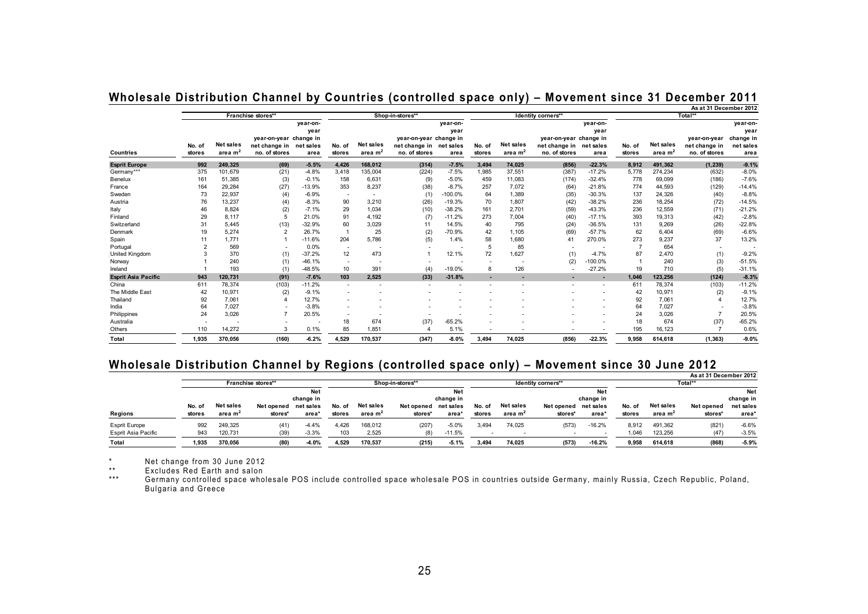|                            |        |                     |                          |           |                          |                          |                         |           | As at 31 December 2012 |                  |                          |                          |        |                  |                          |           |
|----------------------------|--------|---------------------|--------------------------|-----------|--------------------------|--------------------------|-------------------------|-----------|------------------------|------------------|--------------------------|--------------------------|--------|------------------|--------------------------|-----------|
|                            |        |                     | Franchise stores**       |           |                          |                          | Shop-in-stores**        |           |                        |                  | Identity corners**       |                          |        |                  | Total**                  |           |
|                            |        |                     |                          | year-on-  |                          |                          |                         | year-on-  |                        |                  |                          | year-on-                 |        |                  |                          | year-on-  |
|                            |        |                     |                          | year      |                          |                          |                         | year      |                        |                  |                          | year                     |        |                  |                          | year      |
|                            |        |                     | year-on-year change in   |           |                          |                          | year-on-year change in  |           |                        |                  | year-on-year change in   |                          |        |                  | vear-on-vear             | change in |
|                            | No. of | <b>Net sales</b>    | net change in            | net sales | No. of                   | <b>Net sales</b>         | net change in net sales |           | No. of                 | <b>Net sales</b> | net change in net sales  |                          | No. of | <b>Net sales</b> | net change in            | net sales |
| Countries                  | stores | area m <sup>2</sup> | no. of stores            | area      | stores                   | area $m2$                | no. of stores           | area      | stores                 | area $m2$        | no. of stores            | area                     | stores | area $m2$        | no. of stores            | area      |
| <b>Esprit Europe</b>       | 992    | 249,325             | (69)                     | $-5.5%$   | 4,426                    | 168.012                  | (314)                   | $-7.5%$   | 3.494                  | 74,025           | (856)                    | $-22.3%$                 | 8,912  | 491,362          | (1, 239)                 | $-9.1%$   |
| Germany***                 | 375    | 101,679             | (21)                     | $-4.8%$   | 3,418                    | 135,004                  | (224)                   | $-7.5%$   | 1,985                  | 37,551           | (387)                    | $-17.2%$                 | 5,778  | 274,234          | (632)                    | $-8.0%$   |
| Benelux                    | 161    | 51,385              | (3)                      | $-0.1%$   | 158                      | 6,631                    | (9)                     | $-5.0%$   | 459                    | 11,083           | (174)                    | $-32.4%$                 | 778    | 69,099           | (186)                    | $-7.6%$   |
| France                     | 164    | 29.284              | (27)                     | $-13.9%$  | 353                      | 8,237                    | (38)                    | $-8.7%$   | 257                    | 7.072            | (64)                     | $-21.8%$                 | 774    | 44,593           | (129)                    | $-14.4%$  |
| Sweden                     | 73     | 22,937              | (4)                      | $-6.9%$   |                          | $\overline{\phantom{a}}$ | (1)                     | $-100.0%$ | 64                     | 1,389            | (35)                     | $-30.3%$                 | 137    | 24,326           | (40)                     | $-8.8%$   |
| Austria                    | 76     | 13,237              | (4)                      | $-8.3%$   | 90                       | 3,210                    | (26)                    | $-19.3%$  | 70                     | 1,807            | (42)                     | $-38.2%$                 | 236    | 18,254           | (72)                     | $-14.5%$  |
| Italy                      | 46     | 8,824               | (2)                      | $-7.1%$   | 29                       | 1,034                    | (10)                    | $-38.2%$  | 161                    | 2,701            | (59)                     | $-43.3%$                 | 236    | 12,559           | (71)                     | $-21.2%$  |
| Finland                    | 29     | 8,117               | 5                        | 21.0%     | 91                       | 4,192                    | (7)                     | $-11.2%$  | 273                    | 7,004            | (40)                     | $-17.1%$                 | 393    | 19,313           | (42)                     | $-2.8%$   |
| Switzerland                | 31     | 5,445               | (13)                     | $-32.9%$  | 60                       | 3,029                    | 11                      | 14.5%     | 40                     | 795              | (24)                     | $-36.5%$                 | 131    | 9,269            | (26)                     | $-22.8%$  |
| Denmark                    | 19     | 5,274               | $\overline{2}$           | 26.7%     |                          | 25                       | (2)                     | $-70.9%$  | 42                     | 1,105            | (69)                     | $-57.7%$                 | 62     | 6,404            | (69)                     | $-6.6%$   |
| Spain                      |        | 1,771               |                          | $-11.6%$  | 204                      | 5,786                    | (5)                     | 1.4%      | 58                     | 1,680            | 41                       | 270.0%                   | 273    | 9,237            | 37                       | 13.2%     |
| Portugal                   |        | 569                 | $\overline{\phantom{a}}$ | 0.0%      | $\overline{\phantom{a}}$ |                          |                         |           | 5                      | 85               |                          |                          |        | 654              | $\overline{\phantom{a}}$ |           |
| United Kingdom             |        | 370                 | (1)                      | $-37.2%$  | 12                       | 473                      |                         | 12.1%     | 72                     | 1,627            | (1)                      | $-4.7%$                  | 87     | 2,470            | (1)                      | $-9.2%$   |
| Norway                     |        | 240                 | (1)                      | $-46.1%$  |                          |                          |                         |           |                        |                  | (2)                      | $-100.0%$                |        | 240              | (3)                      | $-51.5%$  |
| Ireland                    |        | 193                 | (1)                      | $-48.5%$  | 10                       | 391                      | (4)                     | $-19.0%$  | 8                      | 126              |                          | $-27.2%$                 | 19     | 710              | (5)                      | $-31.1%$  |
| <b>Esprit Asia Pacific</b> | 943    | 120.731             | (91)                     | $-7.6%$   | 103                      | 2.525                    | (33)                    | $-31.8%$  |                        |                  |                          | $\overline{\phantom{a}}$ | 1.046  | 123,256          | (124)                    | $-8.3%$   |
| China                      | 611    | 78,374              | (103)                    | $-11.2%$  |                          |                          |                         |           |                        |                  |                          |                          | 611    | 78,374           | (103)                    | $-11.2%$  |
| The Middle East            | 42     | 10,971              | (2)                      | $-9.1%$   |                          |                          |                         |           |                        |                  |                          |                          | 42     | 10,971           | (2)                      | $-9.1%$   |
| Thailand                   | 92     | 7,061               | 4                        | 12.7%     |                          |                          |                         |           |                        |                  |                          |                          | 92     | 7,061            | $\overline{\bf{4}}$      | 12.7%     |
| India                      | 64     | 7,027               | $\overline{\phantom{a}}$ | $-3.8%$   |                          |                          |                         |           |                        |                  |                          |                          | 64     | 7,027            |                          | $-3.8%$   |
| Philippines                | 24     | 3,026               |                          | 20.5%     |                          |                          |                         |           |                        |                  |                          |                          | 24     | 3,026            | $\overline{7}$           | 20.5%     |
| Australia                  |        |                     |                          |           | 18                       | 674                      | (37)                    | $-65.2%$  |                        |                  |                          |                          | 18     | 674              | (37)                     | $-65.2%$  |
| Others                     | 110    | 14,272              | 3                        | 0.1%      | 85                       | 1,851                    |                         | 5.1%      |                        |                  | $\overline{\phantom{a}}$ |                          | 195    | 16,123           |                          | 0.6%      |
| Total                      | 1,935  | 370,056             | (160)                    | $-6.2%$   | 4,529                    | 170,537                  | (347)                   | $-8.0\%$  | 3,494                  | 74,025           | (856)                    | $-22.3%$                 | 9,958  | 614,618          | (1, 363)                 | $-9.0%$   |

## **Wholesale Distribution Channel by Countries (controlled space only) – Movement since 31 December 2011**

#### **Wholesale Distribution Channel by Regions (controlled space only) – Movement since 30 June 2012**

|                      |        |                     |                    |           |        |                     |            |            |                    |                     |            |           |         |                     | As at 31 December 2012 |            |
|----------------------|--------|---------------------|--------------------|-----------|--------|---------------------|------------|------------|--------------------|---------------------|------------|-----------|---------|---------------------|------------------------|------------|
|                      |        |                     | Franchise stores** |           |        | Shop-in-stores**    |            |            | Identity corners** |                     |            |           | Total** |                     |                        |            |
|                      |        |                     |                    | Net       |        |                     |            | <b>Net</b> |                    |                     |            | Net       |         |                     |                        | <b>Net</b> |
|                      |        |                     |                    | change in |        |                     |            | change in  |                    |                     |            | change in |         |                     |                        | change in  |
|                      | No. of | Net sales           | Net opened         | net sales | No. of | Net sales           | Net opened | net sales  | No. of             | Net sales           | Net opened | net sales | No. of  | Net sales           | Net opened             | net sales  |
| Regions              | stores | area m <sup>2</sup> | stores*            | area      | stores | area m <sup>2</sup> | stores*    | area*      | stores             | area m <sup>2</sup> | stores*    | area*     | stores  | area m <sup>2</sup> | stores*                | area*      |
| <b>Esprit Europe</b> | 992    | 249.325             | (41)               | $-4.4%$   | 4.426  | 168,012             | (207)      | $-5.0%$    | 3,494              | 74,025              | (573)      | $-16.2%$  | 8.912   | 491.362             | (821)                  | $-6.6%$    |
| Esprit Asia Pacific  | 943    | 120,731             | (39)               | $-3.3%$   | 103    | 2,525               |            | $-11.5%$   |                    |                     |            |           | 1.046   | 123,256             | (47)                   | $-3.5%$    |
| Total                | 1.935  | 370.056             | (80)               | $-4.0%$   | 4.529  | 170.537             | (215)      | $-5.1%$    | 3.494              | 74.025              | (573)      | $-16.2%$  | 9.958   | 614.618             | (868)                  | $-5.9%$    |

\* Net change from 30 June 2012 \*\* Excludes Red Earth and salon

\*\*\* Germany controlled space wholesale POS include controlled space wholesale POS in countries outside Germany, mainly Russia, Czech Republic, Poland, Bulgaria and Greece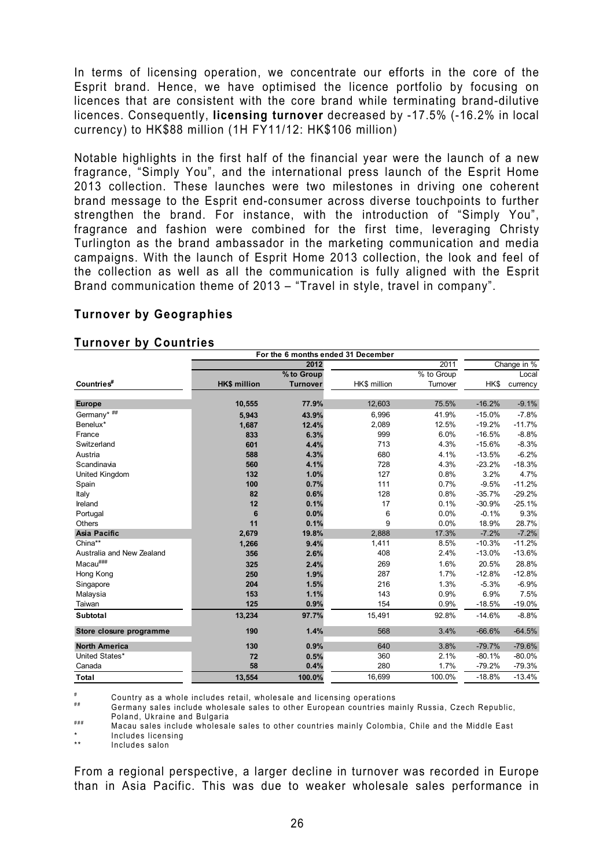In terms of licensing operation, we concentrate our efforts in the core of the Esprit brand. Hence, we have optimised the licence portfolio by focusing on licences that are consistent with the core brand while terminating brand-dilutive licences. Consequently, **licensing turnover** decreased by -17.5% (-16.2% in local currency) to HK\$88 million (1H FY11/12: HK\$106 million)

Notable highlights in the first half of the financial year were the launch of a new fragrance, "Simply You", and the international press launch of the Esprit Home 2013 collection. These launches were two milestones in driving one coherent brand message to the Esprit end-consumer across diverse touchpoints to further strengthen the brand. For instance, with the introduction of "Simply You", fragrance and fashion were combined for the first time, leveraging Christy Turlington as the brand ambassador in the marketing communication and media campaigns. With the launch of Esprit Home 2013 collection, the look and feel of the collection as well as all the communication is fully aligned with the Esprit Brand communication theme of 2013 – "Travel in style, travel in company".

## **Turnover by Geographies**

|                           |                     | For the 6 months ended 31 December |              |            |          |             |
|---------------------------|---------------------|------------------------------------|--------------|------------|----------|-------------|
|                           |                     | 2012                               |              | 2011       |          | Change in % |
|                           |                     | % to Group                         |              | % to Group |          | Local       |
| Countries#                | <b>HK\$ million</b> | <b>Turnover</b>                    | HK\$ million | Turnover   | HK\$     | currency    |
|                           |                     |                                    |              |            |          |             |
| <b>Europe</b>             | 10,555              | 77.9%                              | 12,603       | 75.5%      | $-16.2%$ | $-9.1%$     |
| Germany* $\#$ ##          | 5,943               | 43.9%                              | 6,996        | 41.9%      | $-15.0%$ | $-7.8%$     |
| Benelux*                  | 1,687               | 12.4%                              | 2,089        | 12.5%      | $-19.2%$ | $-11.7%$    |
| France                    | 833                 | 6.3%                               | 999          | 6.0%       | $-16.5%$ | $-8.8%$     |
| Switzerland               | 601                 | 4.4%                               | 713          | 4.3%       | $-15.6%$ | $-8.3%$     |
| Austria                   | 588                 | 4.3%                               | 680          | 4.1%       | $-13.5%$ | $-6.2%$     |
| Scandinavia               | 560                 | 4.1%                               | 728          | 4.3%       | $-23.2%$ | $-18.3%$    |
| United Kingdom            | 132                 | 1.0%                               | 127          | 0.8%       | 3.2%     | 4.7%        |
| Spain                     | 100                 | 0.7%                               | 111          | 0.7%       | $-9.5%$  | $-11.2%$    |
| Italy                     | 82                  | 0.6%                               | 128          | 0.8%       | $-35.7%$ | $-29.2%$    |
| Ireland                   | 12                  | 0.1%                               | 17           | 0.1%       | $-30.9%$ | $-25.1%$    |
| Portugal                  | 6                   | 0.0%                               | 6            | 0.0%       | $-0.1%$  | 9.3%        |
| Others                    | 11                  | 0.1%                               | 9            | 0.0%       | 18.9%    | 28.7%       |
| <b>Asia Pacific</b>       | 2,679               | 19.8%                              | 2,888        | 17.3%      | $-7.2%$  | $-7.2%$     |
| China**                   | 1,266               | 9.4%                               | 1,411        | 8.5%       | $-10.3%$ | $-11.2%$    |
| Australia and New Zealand | 356                 | 2.6%                               | 408          | 2.4%       | $-13.0%$ | $-13.6%$    |
| Macau###                  | 325                 | 2.4%                               | 269          | 1.6%       | 20.5%    | 28.8%       |
| Hong Kong                 | 250                 | 1.9%                               | 287          | 1.7%       | $-12.8%$ | $-12.8%$    |
| Singapore                 | 204                 | 1.5%                               | 216          | 1.3%       | $-5.3%$  | $-6.9%$     |
| Malaysia                  | 153                 | 1.1%                               | 143          | 0.9%       | 6.9%     | 7.5%        |
| Taiwan                    | 125                 | 0.9%                               | 154          | 0.9%       | $-18.5%$ | $-19.0%$    |
| Subtotal                  | 13,234              | 97.7%                              | 15,491       | 92.8%      | $-14.6%$ | $-8.8%$     |
| Store closure programme   | 190                 | 1.4%                               | 568          | 3.4%       | $-66.6%$ | $-64.5%$    |
| <b>North America</b>      | 130                 | 0.9%                               | 640          | 3.8%       | $-79.7%$ | $-79.6%$    |
| United States*            | 72                  | 0.5%                               | 360          | 2.1%       | $-80.1%$ | $-80.0%$    |
| Canada                    | 58                  | 0.4%                               | 280          | 1.7%       | $-79.2%$ | $-79.3%$    |
| Total                     | 13,554              | 100.0%                             | 16,699       | 100.0%     | $-18.8%$ | $-13.4%$    |

#### **Turnover by Countries**

#

# Country as a whole includes retail, wholesale and licensing operations<br># Germany sales include wholesale sales to other European countries mainly Russia, Czech Republic,

Poland, Ukraine and Bulgaria<br>
### Macau sales include wholesale sales to other countries mainly Colombia, Chile and the Middle East

\* Includes licensing

Includes salon

From a regional perspective, a larger decline in turnover was recorded in Europe than in Asia Pacific. This was due to weaker wholesale sales performance in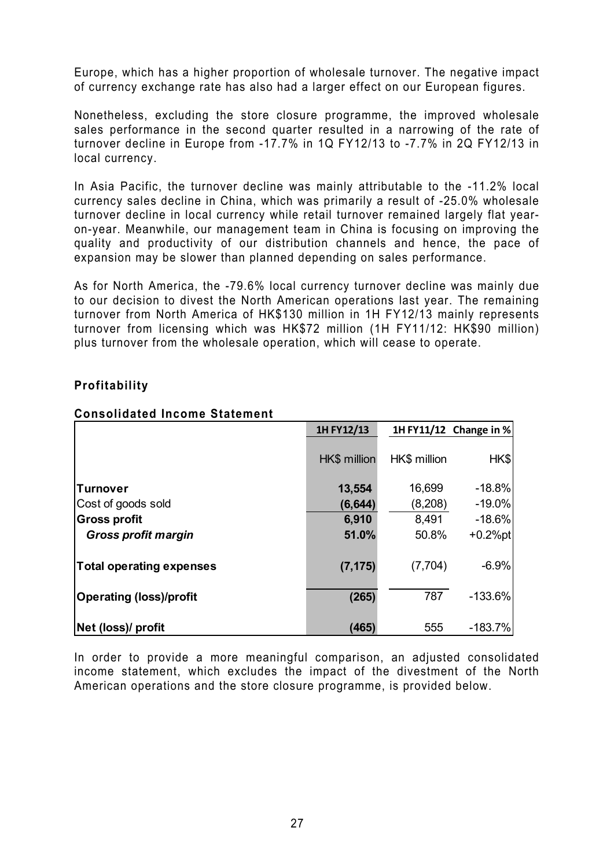Europe, which has a higher proportion of wholesale turnover. The negative impact of currency exchange rate has also had a larger effect on our European figures.

Nonetheless, excluding the store closure programme, the improved wholesale sales performance in the second quarter resulted in a narrowing of the rate of turnover decline in Europe from -17.7% in 1Q FY12/13 to -7.7% in 2Q FY12/13 in local currency.

In Asia Pacific, the turnover decline was mainly attributable to the -11.2% local currency sales decline in China, which was primarily a result of -25.0% wholesale turnover decline in local currency while retail turnover remained largely flat yearon-year. Meanwhile, our management team in China is focusing on improving the quality and productivity of our distribution channels and hence, the pace of expansion may be slower than planned depending on sales performance.

As for North America, the -79.6% local currency turnover decline was mainly due to our decision to divest the North American operations last year. The remaining turnover from North America of HK\$130 million in 1H FY12/13 mainly represents turnover from licensing which was HK\$72 million (1H FY11/12: HK\$90 million) plus turnover from the wholesale operation, which will cease to operate.

## **Profitability**

|                                 | 1HFY12/13    |              | 1H FY11/12 Change in % |
|---------------------------------|--------------|--------------|------------------------|
|                                 | HK\$ million | HK\$ million | HK\$                   |
| <b>Turnover</b>                 | 13,554       | 16,699       | $-18.8%$               |
| Cost of goods sold              | (6, 644)     | (8,208)      | $-19.0\%$              |
| <b>Gross profit</b>             | 6,910        | 8,491        | $-18.6%$               |
| <b>Gross profit margin</b>      | 51.0%        | 50.8%        | $+0.2%$ pt             |
| <b>Total operating expenses</b> | (7, 175)     | (7,704)      | $-6.9%$                |
| <b>Operating (loss)/profit</b>  | (265)        | 787          | $-133.6%$              |
| Net (loss)/ profit              | (465)        | 555          | $-183.7%$              |

### **Consolidated Income Statement**

In order to provide a more meaningful comparison, an adjusted consolidated income statement, which excludes the impact of the divestment of the North American operations and the store closure programme, is provided below.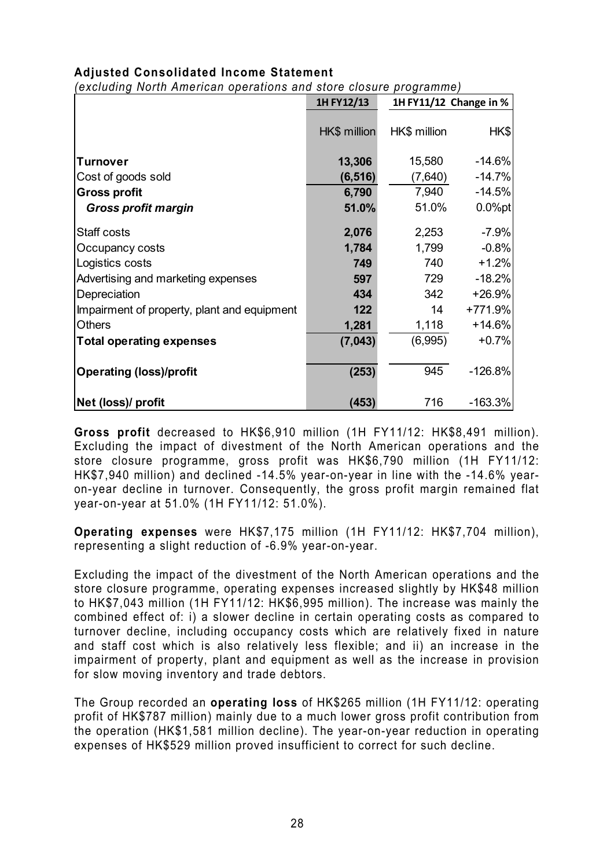## **Adjusted Consolidated Income Statement**

*(excluding North American operations and store closure programme)* 

|                                                              | 1H FY12/13            | 1H FY11/12 Change in % |                               |  |
|--------------------------------------------------------------|-----------------------|------------------------|-------------------------------|--|
|                                                              | HK\$ million          | HK\$ million           | H K \$                        |  |
| <b>Turnover</b>                                              | 13,306                | 15,580                 | $-14.6%$                      |  |
| Cost of goods sold                                           | (6, 516)              | (7,640)                | $-14.7%$                      |  |
| <b>Gross profit</b>                                          | 6,790                 | 7,940                  | $-14.5%$                      |  |
| <b>Gross profit margin</b>                                   | 51.0%                 | 51.0%                  | $0.0%$ pt                     |  |
| Staff costs<br>Occupancy costs<br>Logistics costs            | 2,076<br>1,784<br>749 | 2,253<br>1,799<br>740  | $-7.9%$<br>$-0.8%$<br>$+1.2%$ |  |
| Advertising and marketing expenses<br>Depreciation           | 597<br>434            | 729<br>342             | $-18.2%$<br>$+26.9%$          |  |
| Impairment of property, plant and equipment<br><b>Others</b> | 122<br>1,281          | 14<br>1,118            | +771.9%<br>$+14.6%$           |  |
| <b>Total operating expenses</b>                              | (7,043)               | (6,995)                | $+0.7%$                       |  |
| <b>Operating (loss)/profit</b>                               | (253)                 | 945                    | $-126.8%$                     |  |
| Net (loss)/ profit                                           | (453)                 | 716                    | $-163.3%$                     |  |

**Gross profit** decreased to HK\$6,910 million (1H FY11/12: HK\$8,491 million). Excluding the impact of divestment of the North American operations and the store closure programme, gross profit was HK\$6,790 million (1H FY11/12: HK\$7,940 million) and declined -14.5% year-on-year in line with the -14.6% yearon-year decline in turnover. Consequently, the gross profit margin remained flat year-on-year at 51.0% (1H FY11/12: 51.0%).

**Operating expenses** were HK\$7,175 million (1H FY11/12: HK\$7,704 million), representing a slight reduction of -6.9% year-on-year.

Excluding the impact of the divestment of the North American operations and the store closure programme, operating expenses increased slightly by HK\$48 million to HK\$7,043 million (1H FY11/12: HK\$6,995 million). The increase was mainly the combined effect of: i) a slower decline in certain operating costs as compared to turnover decline, including occupancy costs which are relatively fixed in nature and staff cost which is also relatively less flexible; and ii) an increase in the impairment of property, plant and equipment as well as the increase in provision for slow moving inventory and trade debtors.

The Group recorded an **operating loss** of HK\$265 million (1H FY11/12: operating profit of HK\$787 million) mainly due to a much lower gross profit contribution from the operation (HK\$1,581 million decline). The year-on-year reduction in operating expenses of HK\$529 million proved insufficient to correct for such decline.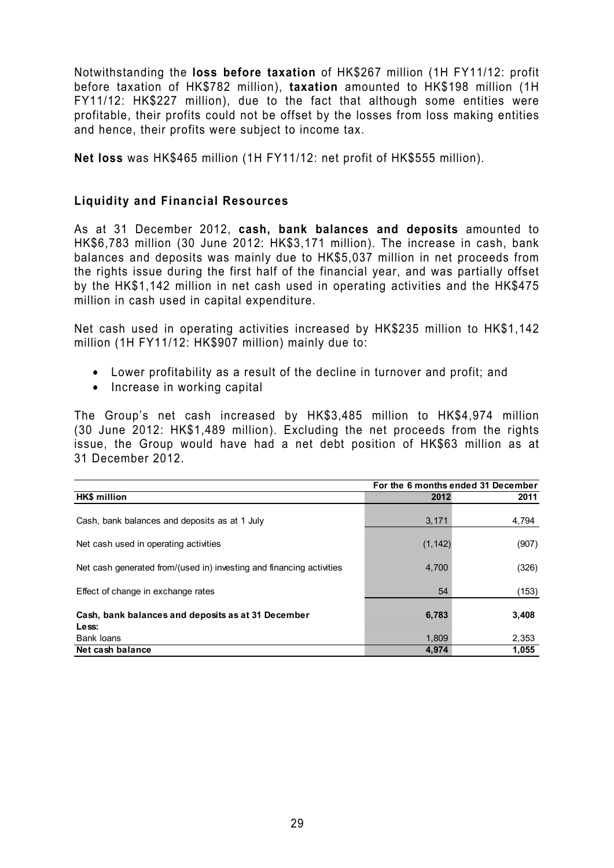Notwithstanding the **loss before taxation** of HK\$267 million (1H FY11/12: profit before taxation of HK\$782 million), **taxation** amounted to HK\$198 million (1H FY11/12: HK\$227 million), due to the fact that although some entities were profitable, their profits could not be offset by the losses from loss making entities and hence, their profits were subject to income tax.

**Net loss** was HK\$465 million (1H FY11/12: net profit of HK\$555 million).

#### **Liquidity and Financial Resources**

As at 31 December 2012, **cash, bank balances and deposits** amounted to HK\$6,783 million (30 June 2012: HK\$3,171 million). The increase in cash, bank balances and deposits was mainly due to HK\$5,037 million in net proceeds from the rights issue during the first half of the financial year, and was partially offset by the HK\$1,142 million in net cash used in operating activities and the HK\$475 million in cash used in capital expenditure.

Net cash used in operating activities increased by HK\$235 million to HK\$1,142 million (1H FY11/12: HK\$907 million) mainly due to:

- Lower profitability as a result of the decline in turnover and profit; and
- Increase in working capital

The Group's net cash increased by HK\$3,485 million to HK\$4,974 million (30 June 2012: HK\$1,489 million). Excluding the net proceeds from the rights issue, the Group would have had a net debt position of HK\$63 million as at 31 December 2012.

|                                                                      | For the 6 months ended 31 December |       |  |
|----------------------------------------------------------------------|------------------------------------|-------|--|
| HK\$ million                                                         | 2012                               | 2011  |  |
| Cash, bank balances and deposits as at 1 July                        | 3,171                              | 4,794 |  |
| Net cash used in operating activities                                | (1, 142)                           | (907) |  |
| Net cash generated from/(used in) investing and financing activities | 4,700                              | (326) |  |
| Effect of change in exchange rates                                   | 54                                 | (153) |  |
| Cash, bank balances and deposits as at 31 December<br>Less:          | 6,783                              | 3,408 |  |
| Bank loans                                                           | 1,809                              | 2,353 |  |
| Net cash balance                                                     | 4.974                              | 1,055 |  |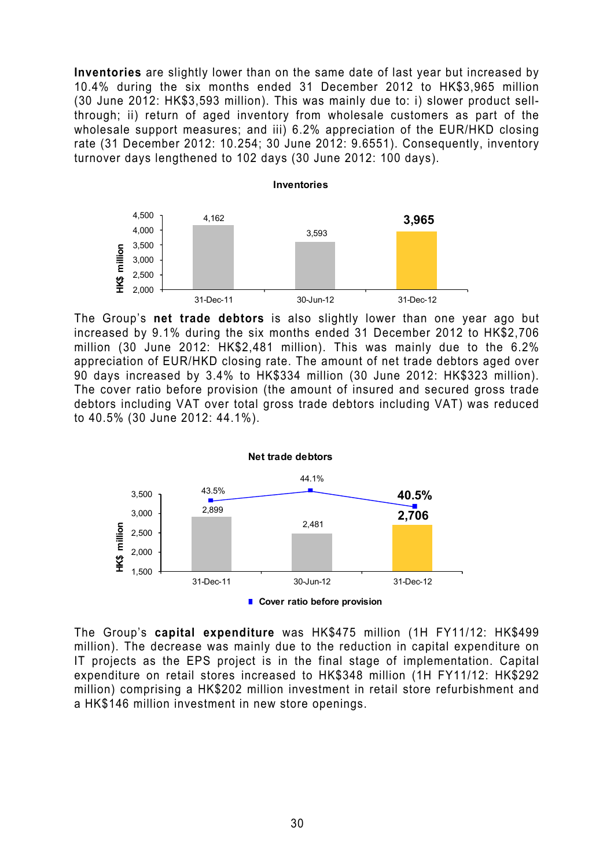**Inventories** are slightly lower than on the same date of last year but increased by 10.4% during the six months ended 31 December 2012 to HK\$3,965 million (30 June 2012: HK\$3,593 million). This was mainly due to: i) slower product sellthrough; ii) return of aged inventory from wholesale customers as part of the wholesale support measures; and iii) 6.2% appreciation of the EUR/HKD closing rate (31 December 2012: 10.254; 30 June 2012: 9.6551). Consequently, inventory turnover days lengthened to 102 days (30 June 2012: 100 days).



The Group's **net trade debtors** is also slightly lower than one year ago but increased by 9.1% during the six months ended 31 December 2012 to HK\$2,706 million (30 June 2012: HK\$2,481 million). This was mainly due to the 6.2% appreciation of EUR/HKD closing rate. The amount of net trade debtors aged over 90 days increased by 3.4% to HK\$334 million (30 June 2012: HK\$323 million). The cover ratio before provision (the amount of insured and secured gross trade debtors including VAT over total gross trade debtors including VAT) was reduced to 40.5% (30 June 2012: 44.1%).



The Group's **capital expenditure** was HK\$475 million (1H FY11/12: HK\$499 million). The decrease was mainly due to the reduction in capital expenditure on IT projects as the EPS project is in the final stage of implementation. Capital expenditure on retail stores increased to HK\$348 million (1H FY11/12: HK\$292 million) comprising a HK\$202 million investment in retail store refurbishment and a HK\$146 million investment in new store openings.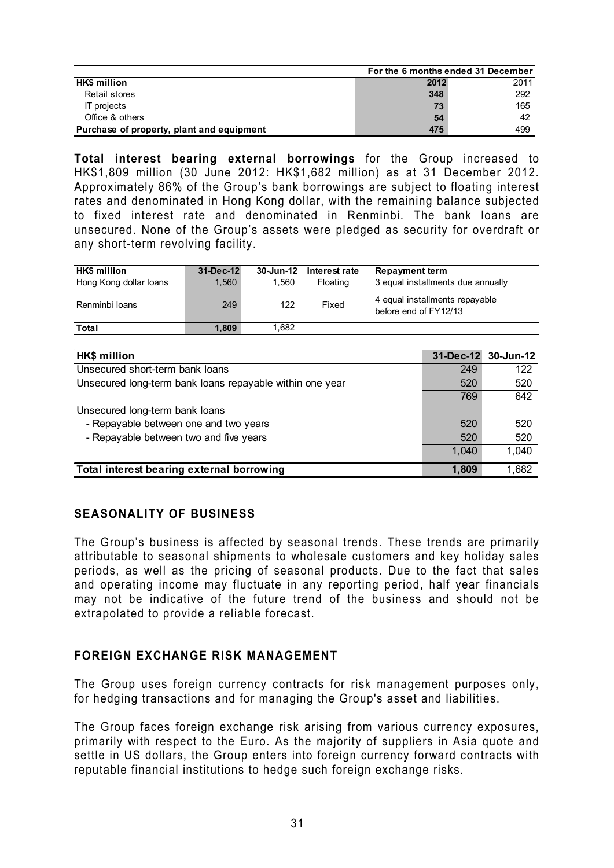|                                           |      | For the 6 months ended 31 December |
|-------------------------------------------|------|------------------------------------|
| <b>HK\$</b> million                       | 2012 | 2011                               |
| Retail stores                             | 348  | 292                                |
| <b>IT</b> projects                        | 73   | 165                                |
| Office & others                           | 54   | 42                                 |
| Purchase of property, plant and equipment | 475  | 499                                |

**Total interest bearing external borrowings** for the Group increased to HK\$1,809 million (30 June 2012: HK\$1,682 million) as at 31 December 2012. Approximately 86% of the Group's bank borrowings are subject to floating interest rates and denominated in Hong Kong dollar, with the remaining balance subjected to fixed interest rate and denominated in Renminbi. The bank loans are unsecured. None of the Group's assets were pledged as security for overdraft or any short-term revolving facility.

| <b>HK\$</b> million    | 31-Dec-12 | 30-Jun-12 | Interest rate | <b>Repayment term</b>                                   |
|------------------------|-----------|-----------|---------------|---------------------------------------------------------|
| Hong Kong dollar loans | 1.560     | l.560     | Floating      | 3 equal installments due annually                       |
| Renminbi Ioans         | 249       | 122       | Fixed         | 4 equal installments repayable<br>before end of FY12/13 |
| Total                  | 1.809     | . 682     |               |                                                         |

| <b>HK\$</b> million                                      |       | 31-Dec-12 30-Jun-12 |
|----------------------------------------------------------|-------|---------------------|
| Unsecured short-term bank loans                          | 249   | 122                 |
| Unsecured long-term bank loans repayable within one year | 520   | 520                 |
|                                                          | 769   | 642                 |
| Unsecured long-term bank loans                           |       |                     |
| - Repayable between one and two years                    | 520   | 520                 |
| - Repayable between two and five years                   | 520   | 520                 |
|                                                          | 1.040 | 1,040               |
| Total interest bearing external borrowing                | 1,809 | 1,682               |

## **SEASONALITY OF BUSINESS**

The Group's business is affected by seasonal trends. These trends are primarily attributable to seasonal shipments to wholesale customers and key holiday sales periods, as well as the pricing of seasonal products. Due to the fact that sales and operating income may fluctuate in any reporting period, half year financials may not be indicative of the future trend of the business and should not be extrapolated to provide a reliable forecast.

## **FOREIGN EXCHANGE RISK MANAGEMENT**

The Group uses foreign currency contracts for risk management purposes only, for hedging transactions and for managing the Group's asset and liabilities.

The Group faces foreign exchange risk arising from various currency exposures, primarily with respect to the Euro. As the majority of suppliers in Asia quote and settle in US dollars, the Group enters into foreign currency forward contracts with reputable financial institutions to hedge such foreign exchange risks.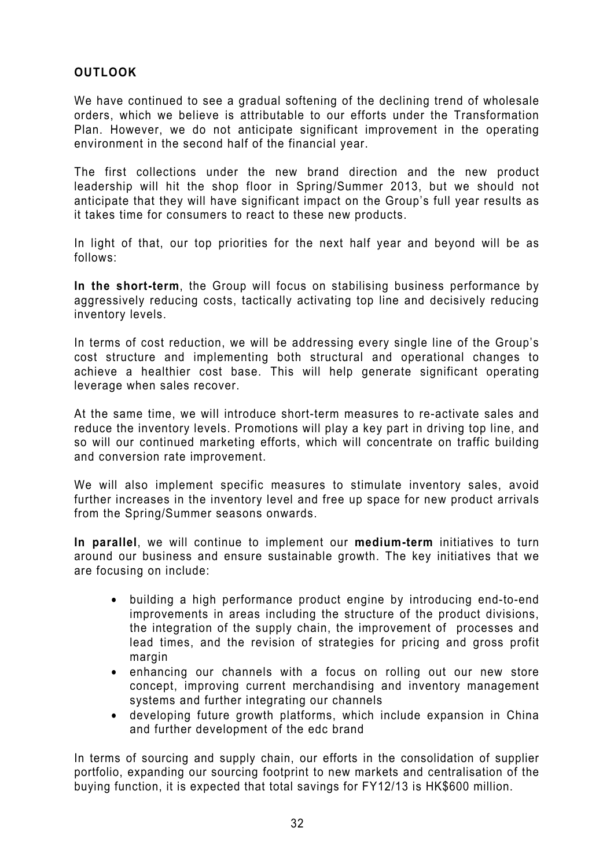## **OUTLOOK**

We have continued to see a gradual softening of the declining trend of wholesale orders, which we believe is attributable to our efforts under the Transformation Plan. However, we do not anticipate significant improvement in the operating environment in the second half of the financial year.

The first collections under the new brand direction and the new product leadership will hit the shop floor in Spring/Summer 2013, but we should not anticipate that they will have significant impact on the Group's full year results as it takes time for consumers to react to these new products.

In light of that, our top priorities for the next half year and beyond will be as follows:

**In the short-term**, the Group will focus on stabilising business performance by aggressively reducing costs, tactically activating top line and decisively reducing inventory levels.

In terms of cost reduction, we will be addressing every single line of the Group's cost structure and implementing both structural and operational changes to achieve a healthier cost base. This will help generate significant operating leverage when sales recover.

At the same time, we will introduce short-term measures to re-activate sales and reduce the inventory levels. Promotions will play a key part in driving top line, and so will our continued marketing efforts, which will concentrate on traffic building and conversion rate improvement.

We will also implement specific measures to stimulate inventory sales, avoid further increases in the inventory level and free up space for new product arrivals from the Spring/Summer seasons onwards.

**In parallel**, we will continue to implement our **medium-term** initiatives to turn around our business and ensure sustainable growth. The key initiatives that we are focusing on include:

- building a high performance product engine by introducing end-to-end improvements in areas including the structure of the product divisions, the integration of the supply chain, the improvement of processes and lead times, and the revision of strategies for pricing and gross profit margin
- enhancing our channels with a focus on rolling out our new store concept, improving current merchandising and inventory management systems and further integrating our channels
- developing future growth platforms, which include expansion in China and further development of the edc brand

In terms of sourcing and supply chain, our efforts in the consolidation of supplier portfolio, expanding our sourcing footprint to new markets and centralisation of the buying function, it is expected that total savings for FY12/13 is HK\$600 million.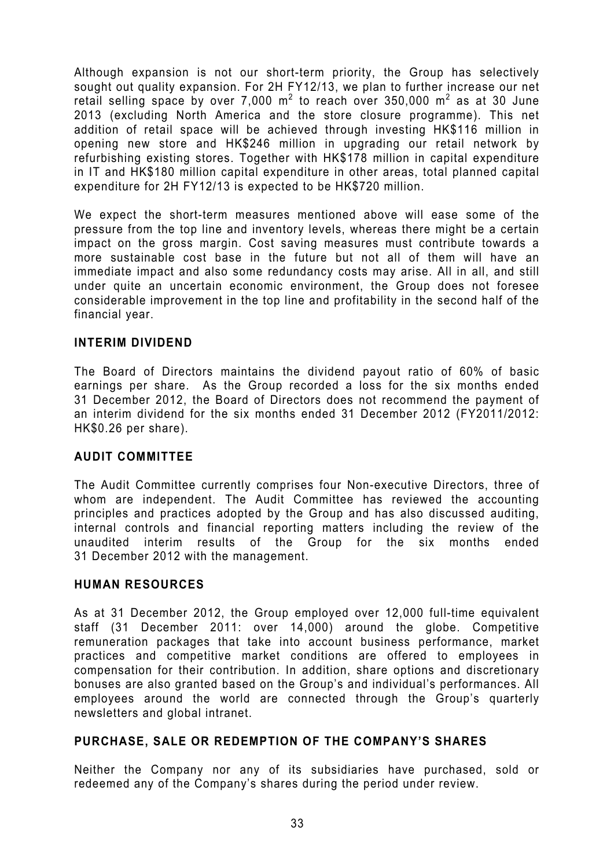Although expansion is not our short-term priority, the Group has selectively sought out quality expansion. For 2H FY12/13, we plan to further increase our net retail selling space by over 7,000 m<sup>2</sup> to reach over 350,000 m<sup>2</sup> as at 30 June 2013 (excluding North America and the store closure programme). This net addition of retail space will be achieved through investing HK\$116 million in opening new store and HK\$246 million in upgrading our retail network by refurbishing existing stores. Together with HK\$178 million in capital expenditure in IT and HK\$180 million capital expenditure in other areas, total planned capital expenditure for 2H FY12/13 is expected to be HK\$720 million.

We expect the short-term measures mentioned above will ease some of the pressure from the top line and inventory levels, whereas there might be a certain impact on the gross margin. Cost saving measures must contribute towards a more sustainable cost base in the future but not all of them will have an immediate impact and also some redundancy costs may arise. All in all, and still under quite an uncertain economic environment, the Group does not foresee considerable improvement in the top line and profitability in the second half of the financial year.

#### **INTERIM DIVIDEND**

The Board of Directors maintains the dividend payout ratio of 60% of basic earnings per share. As the Group recorded a loss for the six months ended 31 December 2012, the Board of Directors does not recommend the payment of an interim dividend for the six months ended 31 December 2012 (FY2011/2012: HK\$0.26 per share).

#### **AUDIT COMMITTEE**

The Audit Committee currently comprises four Non-executive Directors, three of whom are independent. The Audit Committee has reviewed the accounting principles and practices adopted by the Group and has also discussed auditing, internal controls and financial reporting matters including the review of the unaudited interim results of the Group for the six months ended 31 December 2012 with the management.

#### **HUMAN RESOURCES**

As at 31 December 2012, the Group employed over 12,000 full-time equivalent staff (31 December 2011: over 14,000) around the globe. Competitive remuneration packages that take into account business performance, market practices and competitive market conditions are offered to employees in compensation for their contribution. In addition, share options and discretionary bonuses are also granted based on the Group's and individual's performances. All employees around the world are connected through the Group's quarterly newsletters and global intranet.

#### **PURCHASE, SALE OR REDEMPTION OF THE COMPANY'S SHARES**

Neither the Company nor any of its subsidiaries have purchased, sold or redeemed any of the Company's shares during the period under review.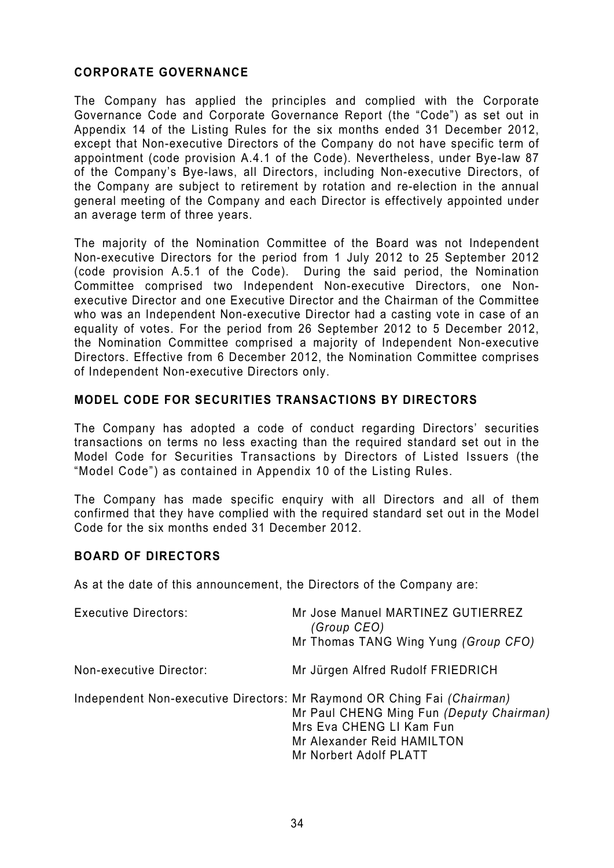## **CORPORATE GOVERNANCE**

The Company has applied the principles and complied with the Corporate Governance Code and Corporate Governance Report (the "Code") as set out in Appendix 14 of the Listing Rules for the six months ended 31 December 2012, except that Non-executive Directors of the Company do not have specific term of appointment (code provision A.4.1 of the Code). Nevertheless, under Bye-law 87 of the Company's Bye-laws, all Directors, including Non-executive Directors, of the Company are subject to retirement by rotation and re-election in the annual general meeting of the Company and each Director is effectively appointed under an average term of three years.

The majority of the Nomination Committee of the Board was not Independent Non-executive Directors for the period from 1 July 2012 to 25 September 2012 (code provision A.5.1 of the Code). During the said period, the Nomination Committee comprised two Independent Non-executive Directors, one Nonexecutive Director and one Executive Director and the Chairman of the Committee who was an Independent Non-executive Director had a casting vote in case of an equality of votes. For the period from 26 September 2012 to 5 December 2012, the Nomination Committee comprised a majority of Independent Non-executive Directors. Effective from 6 December 2012, the Nomination Committee comprises of Independent Non-executive Directors only.

## **MODEL CODE FOR SECURITIES TRANSACTIONS BY DIRECTORS**

The Company has adopted a code of conduct regarding Directors' securities transactions on terms no less exacting than the required standard set out in the Model Code for Securities Transactions by Directors of Listed Issuers (the "Model Code") as contained in Appendix 10 of the Listing Rules.

The Company has made specific enquiry with all Directors and all of them confirmed that they have complied with the required standard set out in the Model Code for the six months ended 31 December 2012.

## **BOARD OF DIRECTORS**

As at the date of this announcement, the Directors of the Company are:

| <b>Executive Directors:</b> | Mr Jose Manuel MARTINEZ GUTIERREZ<br>(Group CEO)<br>Mr Thomas TANG Wing Yung (Group CFO)                                                                                                                |
|-----------------------------|---------------------------------------------------------------------------------------------------------------------------------------------------------------------------------------------------------|
| Non-executive Director:     | Mr Jürgen Alfred Rudolf FRIEDRICH                                                                                                                                                                       |
|                             | Independent Non-executive Directors: Mr Raymond OR Ching Fai (Chairman)<br>Mr Paul CHENG Ming Fun (Deputy Chairman)<br>Mrs Eva CHENG LI Kam Fun<br>Mr Alexander Reid HAMILTON<br>Mr Norbert Adolf PLATT |